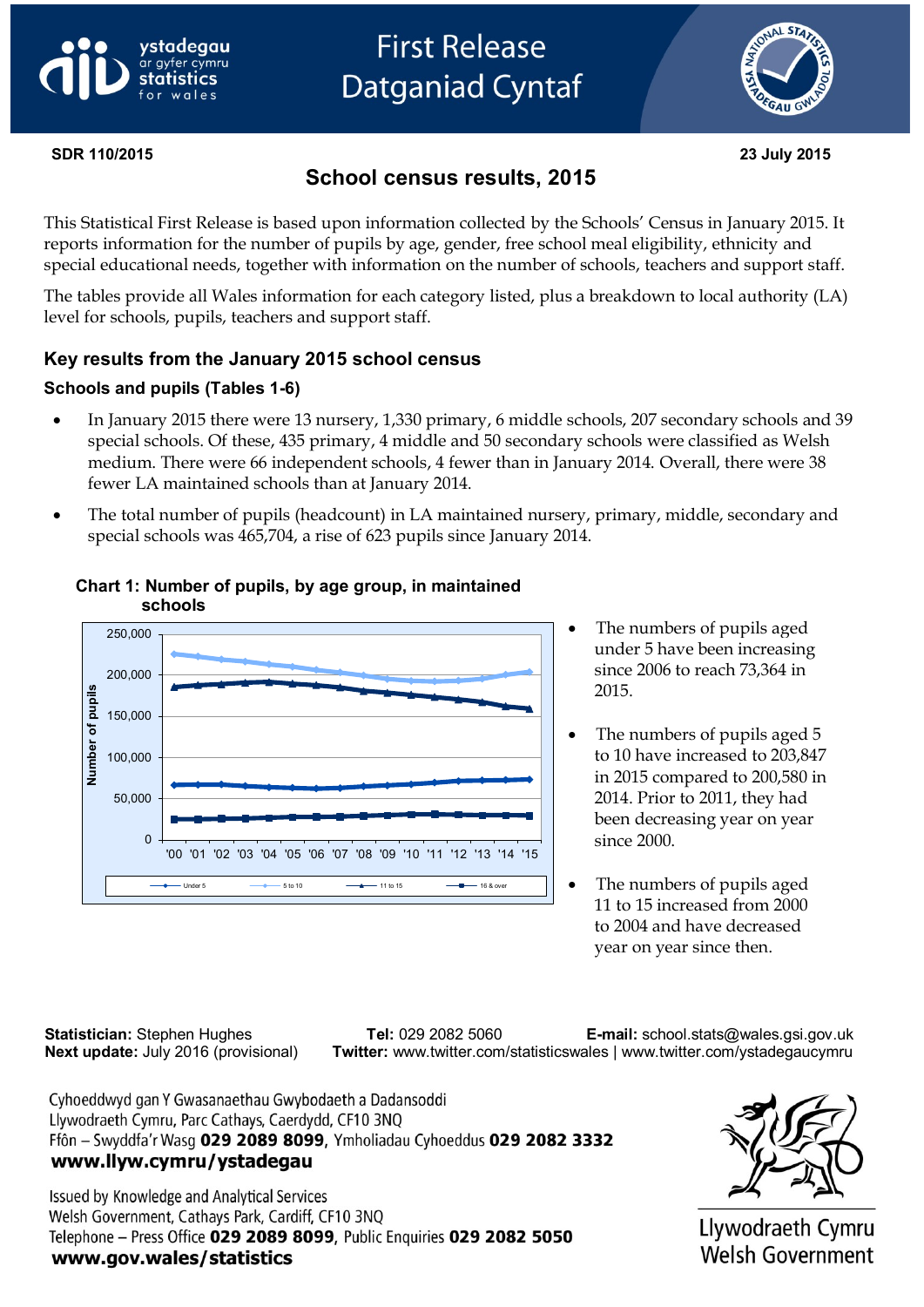# vstadeaau ar gyfer cymru



#### **SDR 110/2015 23 July 2015**

# **School census results, 2015**

This Statistical First Release is based upon information collected by the Schools' Census in January 2015. It reports information for the number of pupils by age, gender, free school meal eligibility, ethnicity and special educational needs, together with information on the number of schools, teachers and support staff.

The tables provide all Wales information for each category listed, plus a breakdown to local authority (LA) level for schools, pupils, teachers and support staff.

## **Key results from the January 2015 school census**

## **Schools and pupils (Tables 1-6)**

- In January 2015 there were 13 nursery, 1,330 primary, 6 middle schools, 207 secondary schools and 39 special schools. Of these, 435 primary, 4 middle and 50 secondary schools were classified as Welsh medium. There were 66 independent schools, 4 fewer than in January 2014. Overall, there were 38 fewer LA maintained schools than at January 2014.
- The total number of pupils (headcount) in LA maintained nursery, primary, middle, secondary and special schools was 465,704, a rise of 623 pupils since January 2014.



#### **Chart 1: Number of pupils, by age group, in maintained schools**

- The numbers of pupils aged under 5 have been increasing since 2006 to reach 73,364 in 2015.
- The numbers of pupils aged 5 to 10 have increased to 203,847 in 2015 compared to 200,580 in 2014. Prior to 2011, they had been decreasing year on year since 2000.
- The numbers of pupils aged 11 to 15 increased from 2000 to 2004 and have decreased year on year since then.

 **Statistician:** Stephen Hughes **Tel:** 029 2082 5060 **E-mail:** school.stats@wales.gsi.gov.uk  **Next update:** July 2016 (provisional) **Twitter:** www.twitter.com/statisticswales | www.twitter.com/ystadegaucymru

Cyhoeddwyd gan Y Gwasanaethau Gwybodaeth a Dadansoddi Llywodraeth Cymru, Parc Cathays, Caerdydd, CF10 3NQ Ffôn - Swyddfa'r Wasg 029 2089 8099, Ymholiadau Cyhoeddus 029 2082 3332 www.llyw.cymru/ystadegau

Issued by Knowledge and Analytical Services Welsh Government, Cathays Park, Cardiff, CF10 3NQ Telephone - Press Office 029 2089 8099, Public Enquiries 029 2082 5050 www.gov.wales/statistics



Llywodraeth Cymru Welsh Government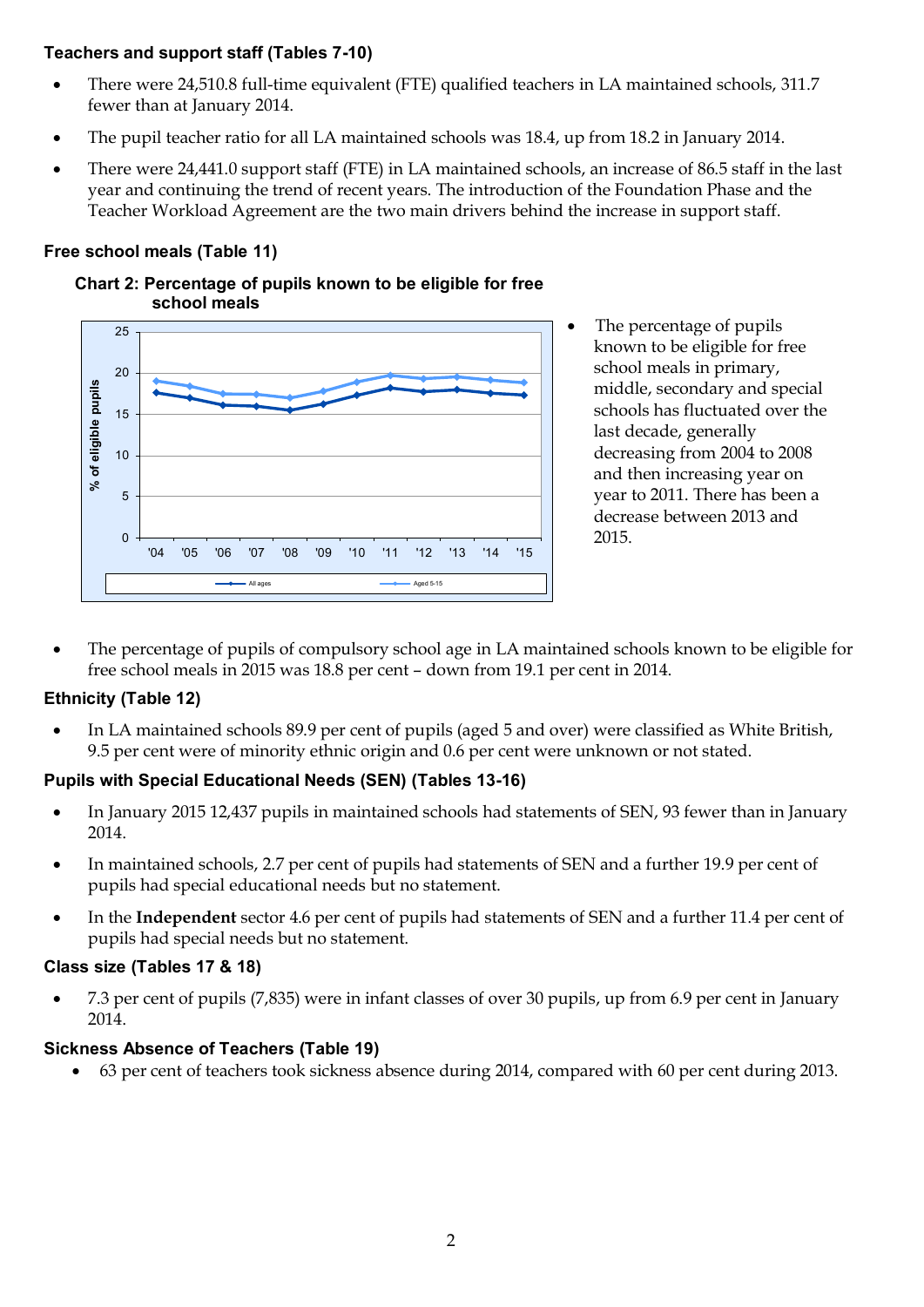## **Teachers and support staff (Tables 7-10)**

- There were 24,510.8 full-time equivalent (FTE) qualified teachers in LA maintained schools, 311.7 fewer than at January 2014.
- The pupil teacher ratio for all LA maintained schools was 18.4, up from 18.2 in January 2014.
- There were 24,441.0 support staff (FTE) in LA maintained schools, an increase of 86.5 staff in the last year and continuing the trend of recent years. The introduction of the Foundation Phase and the Teacher Workload Agreement are the two main drivers behind the increase in support staff.

#### **Free school meals (Table 11)**





- The percentage of pupils known to be eligible for free school meals in primary, middle, secondary and special schools has fluctuated over the last decade, generally decreasing from 2004 to 2008 and then increasing year on year to 2011. There has been a decrease between 2013 and 2015.
- The percentage of pupils of compulsory school age in LA maintained schools known to be eligible for free school meals in 2015 was 18.8 per cent – down from 19.1 per cent in 2014.

#### **Ethnicity (Table 12)**

 In LA maintained schools 89.9 per cent of pupils (aged 5 and over) were classified as White British, 9.5 per cent were of minority ethnic origin and 0.6 per cent were unknown or not stated.

#### **Pupils with Special Educational Needs (SEN) (Tables 13-16)**

- In January 2015 12,437 pupils in maintained schools had statements of SEN, 93 fewer than in January 2014.
- In maintained schools, 2.7 per cent of pupils had statements of SEN and a further 19.9 per cent of pupils had special educational needs but no statement.
- In the **Independent** sector 4.6 per cent of pupils had statements of SEN and a further 11.4 per cent of pupils had special needs but no statement.

#### **Class size (Tables 17 & 18)**

 7.3 per cent of pupils (7,835) were in infant classes of over 30 pupils, up from 6.9 per cent in January 2014.

#### **Sickness Absence of Teachers (Table 19)**

63 per cent of teachers took sickness absence during 2014, compared with 60 per cent during 2013.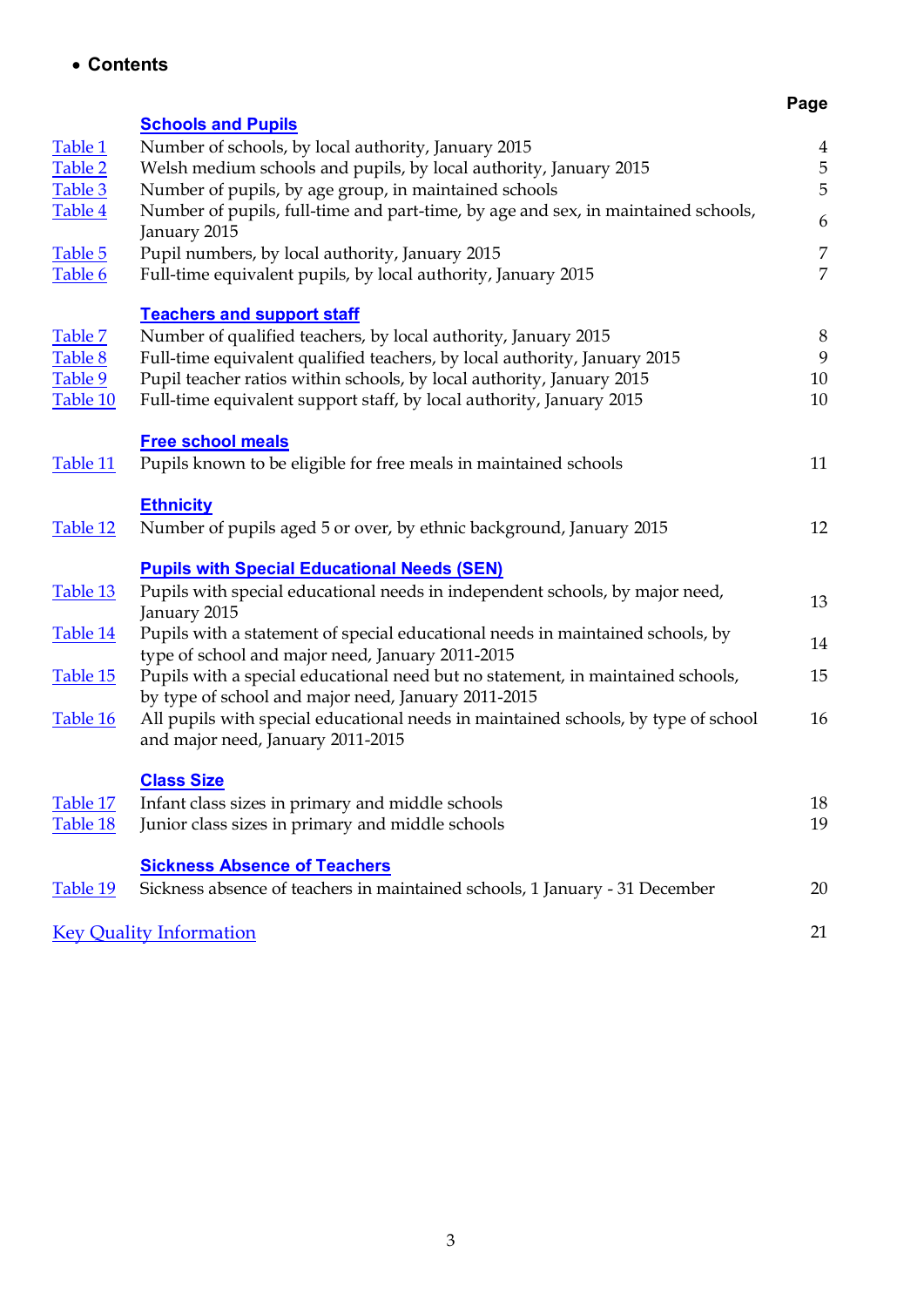**Contents**

# **Page**

<span id="page-2-0"></span>

|          | <b>Schools and Pupils</b>                                                                                                              |                  |
|----------|----------------------------------------------------------------------------------------------------------------------------------------|------------------|
| Table 1  | Number of schools, by local authority, January 2015                                                                                    | $\overline{4}$   |
| Table 2  | Welsh medium schools and pupils, by local authority, January 2015                                                                      | $\overline{5}$   |
| Table 3  | Number of pupils, by age group, in maintained schools                                                                                  | 5                |
| Table 4  | Number of pupils, full-time and part-time, by age and sex, in maintained schools,<br>January 2015                                      | 6                |
| Table 5  | Pupil numbers, by local authority, January 2015                                                                                        | $\boldsymbol{7}$ |
| Table 6  | Full-time equivalent pupils, by local authority, January 2015                                                                          | $\overline{7}$   |
|          | <b>Teachers and support staff</b>                                                                                                      |                  |
| Table 7  | Number of qualified teachers, by local authority, January 2015                                                                         | 8                |
| Table 8  | Full-time equivalent qualified teachers, by local authority, January 2015                                                              | 9                |
| Table 9  | Pupil teacher ratios within schools, by local authority, January 2015                                                                  | 10               |
| Table 10 | Full-time equivalent support staff, by local authority, January 2015                                                                   | 10               |
|          | <b>Free school meals</b>                                                                                                               |                  |
| Table 11 | Pupils known to be eligible for free meals in maintained schools                                                                       | 11               |
|          | <b>Ethnicity</b>                                                                                                                       |                  |
| Table 12 | Number of pupils aged 5 or over, by ethnic background, January 2015                                                                    | 12               |
|          | <b>Pupils with Special Educational Needs (SEN)</b>                                                                                     |                  |
| Table 13 | Pupils with special educational needs in independent schools, by major need,<br>January 2015                                           | 13               |
| Table 14 | Pupils with a statement of special educational needs in maintained schools, by                                                         | 14               |
|          | type of school and major need, January 2011-2015                                                                                       | 15               |
| Table 15 | Pupils with a special educational need but no statement, in maintained schools,<br>by type of school and major need, January 2011-2015 |                  |
| Table 16 | All pupils with special educational needs in maintained schools, by type of school                                                     | 16               |
|          | and major need, January 2011-2015                                                                                                      |                  |
|          | <b>Class Size</b>                                                                                                                      |                  |
| Table 17 | Infant class sizes in primary and middle schools                                                                                       | 18               |
| Table 18 | Junior class sizes in primary and middle schools                                                                                       | 19               |
|          | <b>Sickness Absence of Teachers</b>                                                                                                    |                  |
| Table 19 | Sickness absence of teachers in maintained schools, 1 January - 31 December                                                            | 20               |
|          | <b>Key Quality Information</b>                                                                                                         | 21               |
|          |                                                                                                                                        |                  |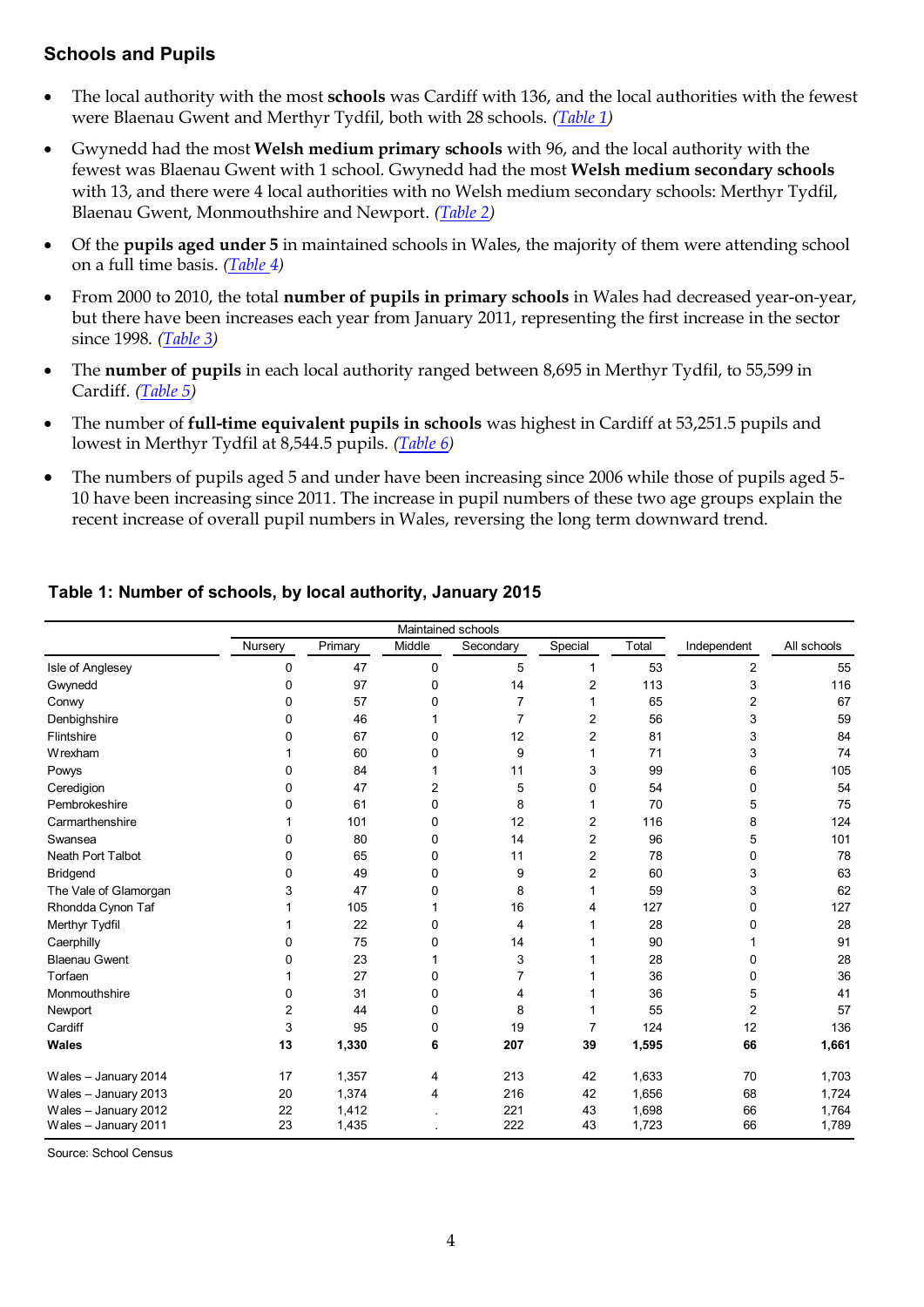## **Schools and Pupils**

- The local authority with the most **schools** was Cardiff with 136, and the local authorities with the fewest were Blaenau Gwent and Merthyr Tydfil, both with 28 schools. *[\(Table 1\)](#page-3-0)*
- Gwynedd had the most **Welsh medium primary schools** with 96, and the local authority with the fewest was Blaenau Gwent with 1 school. Gwynedd had the most **Welsh medium secondary schools** with 13, and there were 4 local authorities with no Welsh medium secondary schools: Merthyr Tydfil, Blaenau Gwent, Monmouthshire and Newport. *[\(Table 2\)](#page-3-1)*
- Of the **pupils aged under 5** in maintained schools in Wales, the majority of them were attending school on a full time basis. *[\(Table 4](#page-4-0))*
- From 2000 to 2010, the total **number of pupils in primary schools** in Wales had decreased year-on-year, but there have been increases each year from January 2011, representing the first increase in the sector since 1998. *[\(Table 3\)](#page-4-0)*
- The **number of pupils** in each local authority ranged between 8,695 in Merthyr Tydfil, to 55,599 in Cardiff. *(Table 5)*
- The number of **full-time equivalent pupils in schools** was highest in Cardiff at 53,251.5 pupils and lowest in Merthyr Tydfil at 8,544.5 pupils. *[\(Table 6\)](#page-6-0)*
- The numbers of pupils aged 5 and under have been increasing since 2006 while those of pupils aged 5- 10 have been increasing since 2011. The increase in pupil numbers of these two age groups explain the recent increase of overall pupil numbers in Wales, reversing the long term downward trend.

<span id="page-3-1"></span>

|                          | Maintained schools |         |        |           |         |       |                |             |  |  |  |  |  |
|--------------------------|--------------------|---------|--------|-----------|---------|-------|----------------|-------------|--|--|--|--|--|
|                          | Nursery            | Primary | Middle | Secondary | Special | Total | Independent    | All schools |  |  |  |  |  |
| Isle of Anglesey         | 0                  | 47      | 0      | 5         | 1       | 53    | $\overline{2}$ | 55          |  |  |  |  |  |
| Gwynedd                  | 0                  | 97      | 0      | 14        | 2       | 113   | 3              | 116         |  |  |  |  |  |
| Conwy                    | 0                  | 57      | 0      | 7         |         | 65    | 2              | 67          |  |  |  |  |  |
| Denbighshire             | 0                  | 46      |        | 7         | 2       | 56    | 3              | 59          |  |  |  |  |  |
| Flintshire               | ŋ                  | 67      | 0      | 12        | 2       | 81    | 3              | 84          |  |  |  |  |  |
| Wrexham                  |                    | 60      | 0      | 9         |         | 71    | 3              | 74          |  |  |  |  |  |
| Powys                    | 0                  | 84      |        | 11        | 3       | 99    | 6              | 105         |  |  |  |  |  |
| Ceredigion               | 0                  | 47      | 2      | 5         | 0       | 54    | 0              | 54          |  |  |  |  |  |
| Pembrokeshire            | 0                  | 61      | 0      | 8         |         | 70    | 5              | 75          |  |  |  |  |  |
| Carmarthenshire          |                    | 101     | 0      | 12        | 2       | 116   | 8              | 124         |  |  |  |  |  |
| Swansea                  | 0                  | 80      | 0      | 14        | 2       | 96    | 5              | 101         |  |  |  |  |  |
| <b>Neath Port Talbot</b> | 0                  | 65      | 0      | 11        | 2       | 78    | 0              | 78          |  |  |  |  |  |
| <b>Bridgend</b>          | 0                  | 49      | 0      | 9         | 2       | 60    | 3              | 63          |  |  |  |  |  |
| The Vale of Glamorgan    | 3                  | 47      | 0      | 8         |         | 59    | 3              | 62          |  |  |  |  |  |
| Rhondda Cynon Taf        |                    | 105     |        | 16        | 4       | 127   | 0              | 127         |  |  |  |  |  |
| Merthyr Tydfil           |                    | 22      | 0      | 4         |         | 28    | 0              | 28          |  |  |  |  |  |
| Caerphilly               | 0                  | 75      | 0      | 14        |         | 90    |                | 91          |  |  |  |  |  |
| <b>Blaenau Gwent</b>     | 0                  | 23      |        | 3         |         | 28    | 0              | 28          |  |  |  |  |  |
| Torfaen                  |                    | 27      | 0      |           |         | 36    | 0              | 36          |  |  |  |  |  |
| Monmouthshire            | 0                  | 31      | 0      | 4         |         | 36    | 5              | 41          |  |  |  |  |  |
| Newport                  | 2                  | 44      | 0      | 8         |         | 55    | 2              | 57          |  |  |  |  |  |
| Cardiff                  | 3                  | 95      | 0      | 19        | 7       | 124   | 12             | 136         |  |  |  |  |  |
| <b>Wales</b>             | 13                 | 1,330   | 6      | 207       | 39      | 1,595 | 66             | 1,661       |  |  |  |  |  |
| Wales - January 2014     | 17                 | 1,357   | 4      | 213       | 42      | 1,633 | 70             | 1,703       |  |  |  |  |  |
| Wales - January 2013     | 20                 | 1,374   | 4      | 216       | 42      | 1,656 | 68             | 1,724       |  |  |  |  |  |
| Wales - January 2012     | 22                 | 1,412   |        | 221       | 43      | 1,698 | 66             | 1,764       |  |  |  |  |  |
| Wales - January 2011     | 23                 | 1,435   |        | 222       | 43      | 1,723 | 66             | 1,789       |  |  |  |  |  |

## <span id="page-3-0"></span>**Table 1: Number of schools, by local authority, January 2015**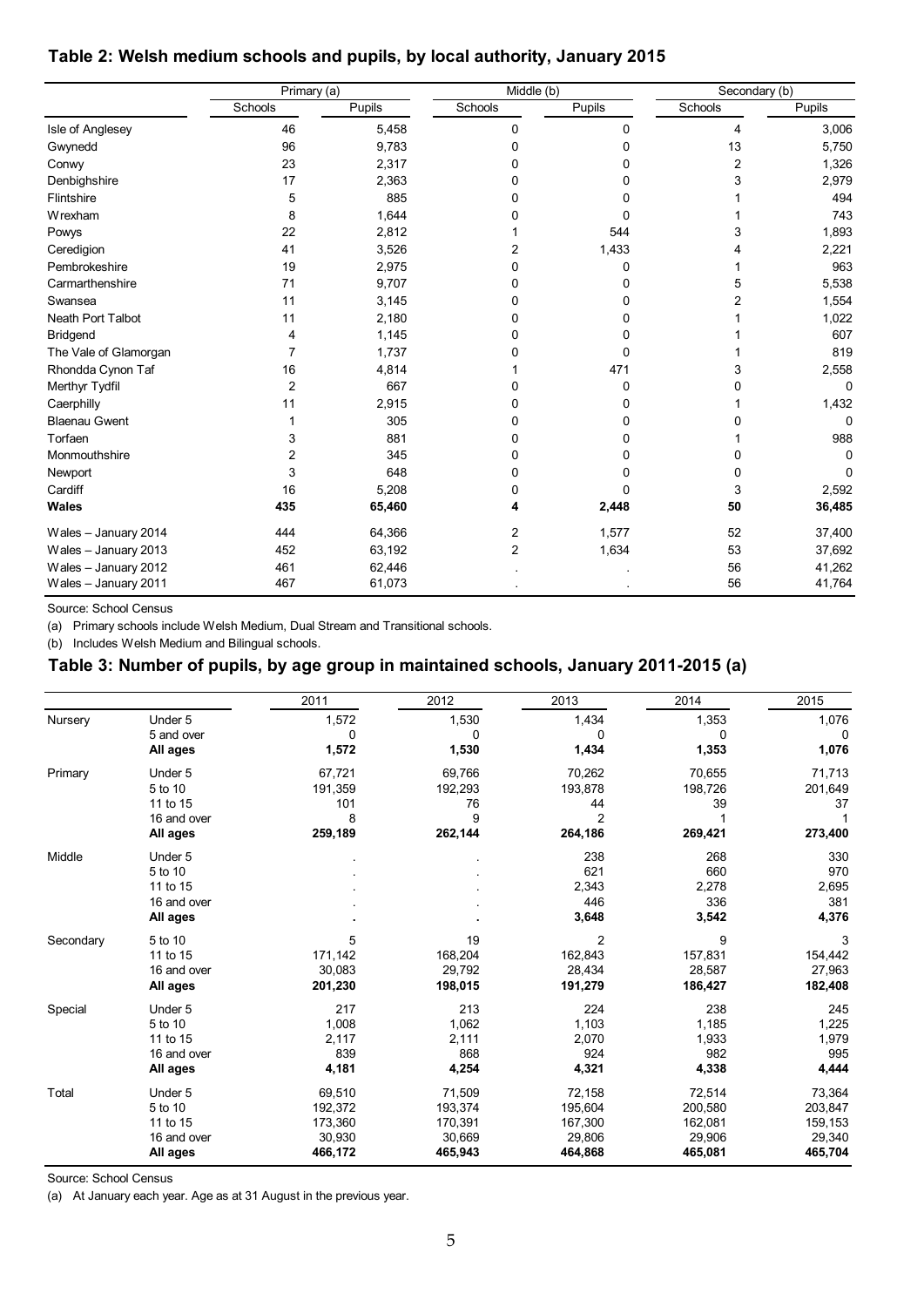## <span id="page-4-0"></span>**Table 2: Welsh medium schools and pupils, by local authority, January 2015**

|                       | Primary (a)    |        | $\overline{\text{M}}$ iddle (b) |        | Secondary (b)  |          |  |  |
|-----------------------|----------------|--------|---------------------------------|--------|----------------|----------|--|--|
|                       | Schools        | Pupils | Schools                         | Pupils | Schools        | Pupils   |  |  |
| Isle of Anglesey      | 46             | 5,458  | 0                               | 0      | 4              | 3,006    |  |  |
| Gwynedd               | 96             | 9,783  | 0                               | 0      | 13             | 5,750    |  |  |
| Conwy                 | 23             | 2,317  | 0                               | 0      | $\overline{2}$ | 1,326    |  |  |
| Denbighshire          | 17             | 2,363  | 0                               | 0      | 3              | 2,979    |  |  |
| Flintshire            | 5              | 885    | 0                               | 0      |                | 494      |  |  |
| Wrexham               | 8              | 1,644  | 0                               | 0      |                | 743      |  |  |
| Powys                 | 22             | 2,812  |                                 | 544    | 3              | 1,893    |  |  |
| Ceredigion            | 41             | 3,526  | 2                               | 1,433  |                | 2,221    |  |  |
| Pembrokeshire         | 19             | 2,975  | 0                               | 0      |                | 963      |  |  |
| Carmarthenshire       | 71             | 9,707  | 0                               | 0      | 5              | 5,538    |  |  |
| Swansea               | 11             | 3,145  | 0                               | 0      | 2              | 1,554    |  |  |
| Neath Port Talbot     | 11             | 2,180  | 0                               | 0      |                | 1,022    |  |  |
| <b>Bridgend</b>       | 4              | 1,145  | 0                               | 0      |                | 607      |  |  |
| The Vale of Glamorgan | $\overline{7}$ | 1,737  | O                               | 0      |                | 819      |  |  |
| Rhondda Cynon Taf     | 16             | 4,814  |                                 | 471    |                | 2,558    |  |  |
| Merthyr Tydfil        | $\overline{2}$ | 667    | 0                               | 0      |                | 0        |  |  |
| Caerphilly            | 11             | 2,915  | 0                               | 0      |                | 1,432    |  |  |
| <b>Blaenau Gwent</b>  |                | 305    | 0                               | 0      |                | $\Omega$ |  |  |
| Torfaen               | 3              | 881    | 0                               | 0      |                | 988      |  |  |
| Monmouthshire         | 2              | 345    | 0                               | 0      | O              | $\Omega$ |  |  |
| Newport               | 3              | 648    | $\Omega$                        | 0      | 0              | $\Omega$ |  |  |
| Cardiff               | 16             | 5,208  | 0                               | 0      | 3              | 2,592    |  |  |
| Wales                 | 435            | 65,460 | 4                               | 2,448  | 50             | 36,485   |  |  |
| Wales - January 2014  | 444            | 64,366 | $\overline{2}$                  | 1,577  | 52             | 37,400   |  |  |
| Wales - January 2013  | 452            | 63,192 | $\overline{2}$                  | 1,634  | 53             | 37,692   |  |  |
| Wales - January 2012  | 461            | 62,446 |                                 |        | 56             | 41,262   |  |  |
| Wales - January 2011  | 467            | 61,073 |                                 |        | 56             | 41,764   |  |  |

Source: School Census

(a) Primary schools include Welsh Medium, Dual Stream and Transitional schools.

(b) Includes Welsh Medium and Bilingual schools.

## **Table 3: Number of pupils, by age group in maintained schools, January 2011-2015 (a)**

|           |             | 2011    | 2012    | 2013           | 2014    | 2015    |
|-----------|-------------|---------|---------|----------------|---------|---------|
| Nursery   | Under 5     | 1,572   | 1,530   | 1,434          | 1,353   | 1,076   |
|           | 5 and over  | 0       | 0       | 0              | 0       | 0       |
|           | All ages    | 1,572   | 1,530   | 1,434          | 1,353   | 1,076   |
| Primary   | Under 5     | 67,721  | 69,766  | 70,262         | 70,655  | 71,713  |
|           | 5 to 10     | 191,359 | 192,293 | 193,878        | 198,726 | 201,649 |
|           | 11 to 15    | 101     | 76      | 44             | 39      | 37      |
|           | 16 and over | 8       | 9       | $\overline{2}$ |         | 1       |
|           | All ages    | 259,189 | 262,144 | 264,186        | 269,421 | 273,400 |
| Middle    | Under 5     |         |         | 238            | 268     | 330     |
|           | 5 to 10     |         |         | 621            | 660     | 970     |
|           | 11 to 15    |         |         | 2,343          | 2,278   | 2,695   |
|           | 16 and over |         |         | 446            | 336     | 381     |
|           | All ages    |         |         | 3,648          | 3,542   | 4,376   |
| Secondary | 5 to 10     | 5       | 19      | $\overline{2}$ | 9       | 3       |
|           | 11 to 15    | 171,142 | 168,204 | 162,843        | 157,831 | 154,442 |
|           | 16 and over | 30,083  | 29,792  | 28,434         | 28,587  | 27,963  |
|           | All ages    | 201,230 | 198,015 | 191,279        | 186,427 | 182,408 |
| Special   | Under 5     | 217     | 213     | 224            | 238     | 245     |
|           | 5 to 10     | 1,008   | 1,062   | 1,103          | 1.185   | 1,225   |
|           | 11 to 15    | 2,117   | 2,111   | 2,070          | 1,933   | 1,979   |
|           | 16 and over | 839     | 868     | 924            | 982     | 995     |
|           | All ages    | 4,181   | 4,254   | 4,321          | 4,338   | 4,444   |
| Total     | Under 5     | 69,510  | 71,509  | 72,158         | 72,514  | 73,364  |
|           | 5 to 10     | 192,372 | 193,374 | 195,604        | 200,580 | 203,847 |
|           | 11 to 15    | 173,360 | 170,391 | 167,300        | 162,081 | 159,153 |
|           | 16 and over | 30,930  | 30,669  | 29,806         | 29,906  | 29,340  |
|           | All ages    | 466,172 | 465,943 | 464,868        | 465,081 | 465,704 |

Source: School Census

(a) At January each year. Age as at 31 August in the previous year.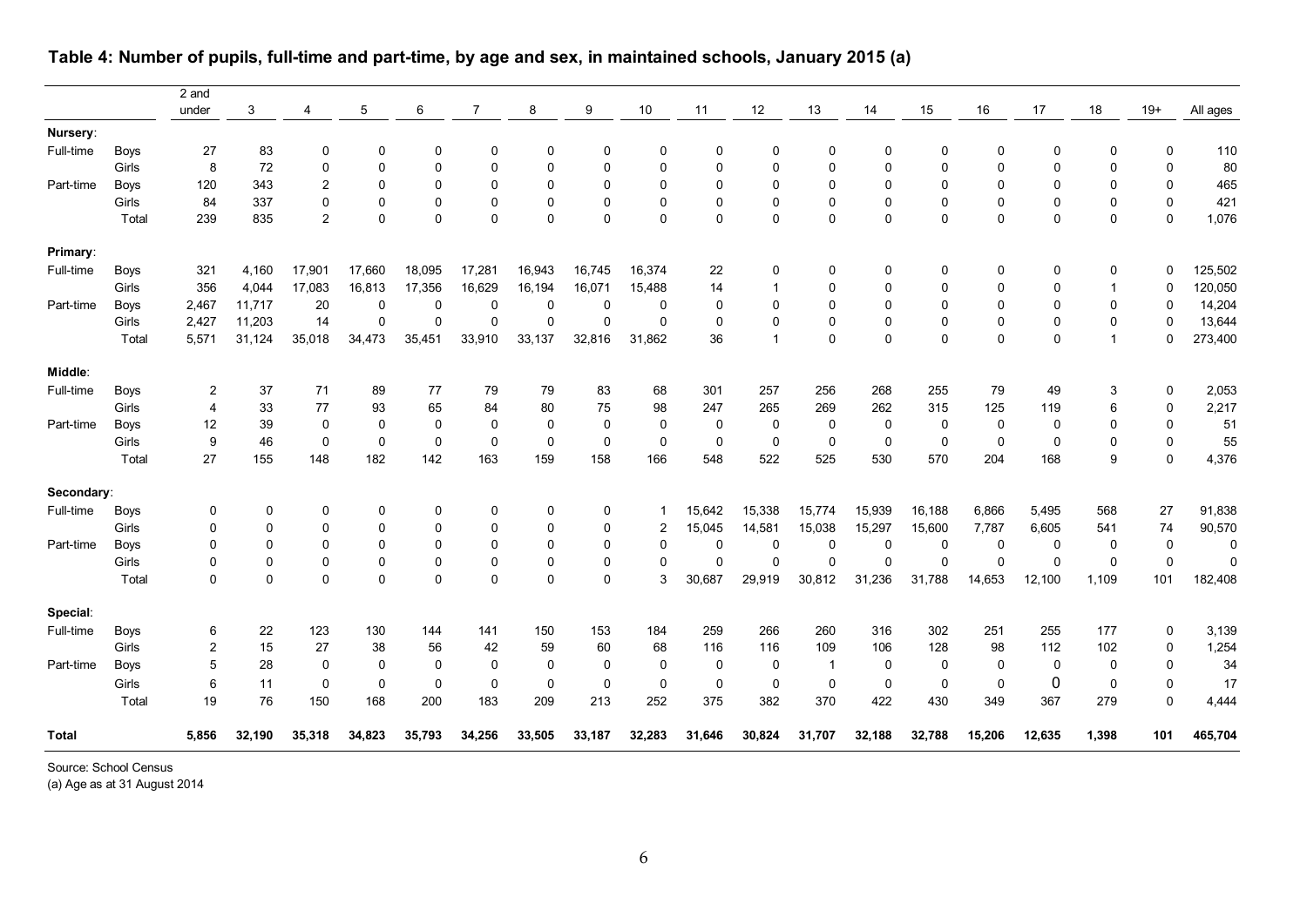|              |             | 2 and          |             |                |              |             |                |          |          |                |             |                |              |             |             |             |              |                |              |             |
|--------------|-------------|----------------|-------------|----------------|--------------|-------------|----------------|----------|----------|----------------|-------------|----------------|--------------|-------------|-------------|-------------|--------------|----------------|--------------|-------------|
|              |             | under          | 3           | 4              | 5            | 6           | $\overline{7}$ | 8        | 9        | 10             | 11          | $12$           | 13           | 14          | 15          | 16          | 17           | 18             | $19+$        | All ages    |
| Nursery:     |             |                |             |                |              |             |                |          |          |                |             |                |              |             |             |             |              |                |              |             |
| Full-time    | <b>Boys</b> | 27             | 83          | 0              | 0            | 0           | 0              | 0        | 0        | $\mathbf 0$    | $\Omega$    | $\Omega$       | 0            | $\Omega$    | 0           | 0           | $\mathbf{0}$ | $\Omega$       | 0            | 110         |
|              | Girls       | 8              | 72          | $\Omega$       | $\mathbf{0}$ | 0           | 0              | 0        | $\Omega$ | $\mathbf 0$    | $\Omega$    | $\Omega$       | $\Omega$     | $\Omega$    | $\mathbf 0$ | $\mathbf 0$ | $\Omega$     | $\mathbf 0$    | $\mathbf 0$  | 80          |
| Part-time    | <b>Boys</b> | 120            | 343         | 2              | 0            | 0           | 0              | 0        | 0        | $\mathbf 0$    | 0           | $\Omega$       | $\Omega$     | $\mathbf 0$ | $\mathbf 0$ | 0           | $\mathbf{0}$ | $\Omega$       | 0            | 465         |
|              | Girls       | 84             | 337         | $\mathbf 0$    | 0            | 0           | 0              | 0        | 0        | $\pmb{0}$      | $\mathbf 0$ | $\mathbf{0}$   | $\mathbf 0$  | $\mathbf 0$ | $\pmb{0}$   | 0           | $\Omega$     | $\mathbf 0$    | 0            | 421         |
|              | Total       | 239            | 835         | $\overline{2}$ | 0            | 0           | 0              | $\Omega$ | $\Omega$ | $\mathbf 0$    | $\Omega$    | $\Omega$       | $\Omega$     | $\Omega$    | $\mathbf 0$ | $\mathbf 0$ | $\Omega$     | $\mathbf 0$    | $\mathbf 0$  | 1,076       |
| Primary:     |             |                |             |                |              |             |                |          |          |                |             |                |              |             |             |             |              |                |              |             |
| Full-time    | <b>Boys</b> | 321            | 4,160       | 17,901         | 17,660       | 18,095      | 17,281         | 16,943   | 16,745   | 16,374         | 22          | 0              | 0            | $\mathbf 0$ | 0           | $\mathbf 0$ | 0            | 0              | $\Omega$     | 125,502     |
|              | Girls       | 356            | 4,044       | 17,083         | 16,813       | 17,356      | 16,629         | 16,194   | 16,071   | 15,488         | 14          |                | $\mathbf 0$  | $\Omega$    | $\mathbf 0$ | $\mathbf 0$ | $\Omega$     | $\overline{1}$ | 0            | 120,050     |
| Part-time    | <b>Boys</b> | 2,467          | 11,717      | 20             | $\mathbf 0$  | $\mathbf 0$ | 0              | 0        | 0        | $\mathbf 0$    | $\mathbf 0$ | 0              | $\Omega$     | $\mathbf 0$ | $\mathbf 0$ | $\mathbf 0$ | $\Omega$     | $\mathbf 0$    | $\mathbf 0$  | 14,204      |
|              | Girls       | 2,427          | 11,203      | 14             | 0            | 0           | $\Omega$       | 0        | $\Omega$ | $\Omega$       | $\Omega$    | $\Omega$       | $\Omega$     | $\Omega$    | $\mathbf 0$ | $\mathbf 0$ | $\Omega$     | $\mathbf 0$    | $\Omega$     | 13,644      |
|              | Total       | 5,571          | 31,124      | 35,018         | 34,473       | 35,451      | 33,910         | 33,137   | 32,816   | 31,862         | 36          | $\overline{1}$ | $\Omega$     | $\Omega$    | $\mathbf 0$ | $\Omega$    | $\Omega$     | $\mathbf{1}$   | $\Omega$     | 273,400     |
| Middle:      |             |                |             |                |              |             |                |          |          |                |             |                |              |             |             |             |              |                |              |             |
| Full-time    | <b>Boys</b> | 2              | 37          | 71             | 89           | 77          | 79             | 79       | 83       | 68             | 301         | 257            | 256          | 268         | 255         | 79          | 49           | 3              | $\mathbf 0$  | 2,053       |
|              | Girls       | $\overline{4}$ | 33          | 77             | 93           | 65          | 84             | 80       | 75       | 98             | 247         | 265            | 269          | 262         | 315         | 125         | 119          | 6              | $\mathbf{0}$ | 2,217       |
| Part-time    | <b>Boys</b> | 12             | 39          | 0              | $\mathbf 0$  | 0           | 0              | 0        | 0        | 0              | 0           | 0              | 0            | $\mathbf 0$ | 0           | 0           | 0            | 0              | $\mathbf 0$  | 51          |
|              | Girls       | 9              | 46          | 0              | 0            | 0           | 0              | 0        | 0        | 0              | 0           | 0              | $\mathbf 0$  | $\mathbf 0$ | 0           | 0           | 0            | 0              | $\mathbf 0$  | 55          |
|              | Total       | 27             | 155         | 148            | 182          | 142         | 163            | 159      | 158      | 166            | 548         | 522            | 525          | 530         | 570         | 204         | 168          | 9              | $\mathbf 0$  | 4,376       |
| Secondary:   |             |                |             |                |              |             |                |          |          |                |             |                |              |             |             |             |              |                |              |             |
| Full-time    | <b>Boys</b> | 0              | 0           | 0              | 0            | 0           | 0              | 0        | 0        | 1              | 15,642      | 15,338         | 15,774       | 15,939      | 16,188      | 6,866       | 5,495        | 568            | 27           | 91,838      |
|              | Girls       | 0              | 0           | 0              | 0            | 0           | 0              | 0        | 0        | $\overline{2}$ | 15,045      | 14,581         | 15,038       | 15,297      | 15,600      | 7,787       | 6,605        | 541            | 74           | 90,570      |
| Part-time    | <b>Boys</b> | 0              | $\mathbf 0$ | $\mathbf 0$    | $\mathbf 0$  | 0           | 0              | 0        | 0        | 0              | 0           | $\mathbf 0$    | 0            | $\mathbf 0$ | 0           | 0           | 0            | $\mathbf 0$    | $\mathbf 0$  | $\mathbf 0$ |
|              | Girls       | $\Omega$       | $\mathbf 0$ | $\mathbf 0$    | 0            | 0           | 0              | 0        | 0        | $\Omega$       | $\Omega$    | $\Omega$       | $\mathbf 0$  | $\Omega$    | $\Omega$    | $\Omega$    | $\mathbf 0$  | $\mathbf 0$    | $\mathbf 0$  | $\Omega$    |
|              | Total       | $\mathbf 0$    | $\Omega$    | $\Omega$       | $\Omega$     | $\Omega$    | 0              | $\Omega$ | $\Omega$ | 3              | 30,687      | 29,919         | 30,812       | 31,236      | 31,788      | 14,653      | 12,100       | 1,109          | 101          | 182,408     |
| Special:     |             |                |             |                |              |             |                |          |          |                |             |                |              |             |             |             |              |                |              |             |
| Full-time    | <b>Boys</b> | 6              | 22          | 123            | 130          | 144         | 141            | 150      | 153      | 184            | 259         | 266            | 260          | 316         | 302         | 251         | 255          | 177            | $\mathbf 0$  | 3,139       |
|              | Girls       | 2              | 15          | 27             | 38           | 56          | 42             | 59       | 60       | 68             | 116         | 116            | 109          | 106         | 128         | 98          | 112          | 102            | 0            | 1,254       |
| Part-time    | <b>Boys</b> | 5              | 28          | $\mathbf{0}$   | $\mathbf 0$  | $\mathbf 0$ | 0              | $\Omega$ | 0        | $\mathbf 0$    | $\mathbf 0$ | $\mathbf{0}$   | $\mathbf{1}$ | $\mathbf 0$ | $\mathbf 0$ | 0           | $\mathbf 0$  | $\mathbf 0$    | $\mathbf 0$  | 34          |
|              | Girls       | 6              | 11          | $\mathbf 0$    | 0            | $\mathbf 0$ | 0              | 0        | 0        | $\mathbf 0$    | 0           | $\mathbf 0$    | $\mathbf 0$  | $\mathbf 0$ | $\mathbf 0$ | $\mathbf 0$ | 0            | $\mathbf 0$    | $\mathbf 0$  | 17          |
|              | Total       | 19             | 76          | 150            | 168          | 200         | 183            | 209      | 213      | 252            | 375         | 382            | 370          | 422         | 430         | 349         | 367          | 279            | $\mathbf 0$  | 4,444       |
| <b>Total</b> |             | 5,856          | 32,190      | 35,318         | 34,823       | 35,793      | 34,256         | 33,505   | 33,187   | 32,283         | 31,646      | 30,824         | 31,707       | 32,188      | 32,788      | 15,206      | 12,635       | 1,398          | 101          | 465,704     |

## **Table 4: Number of pupils, full-time and part-time, by age and sex, in maintained schools, January 2015 (a)**

Source: School Census

(a) Age as at 31 August 2014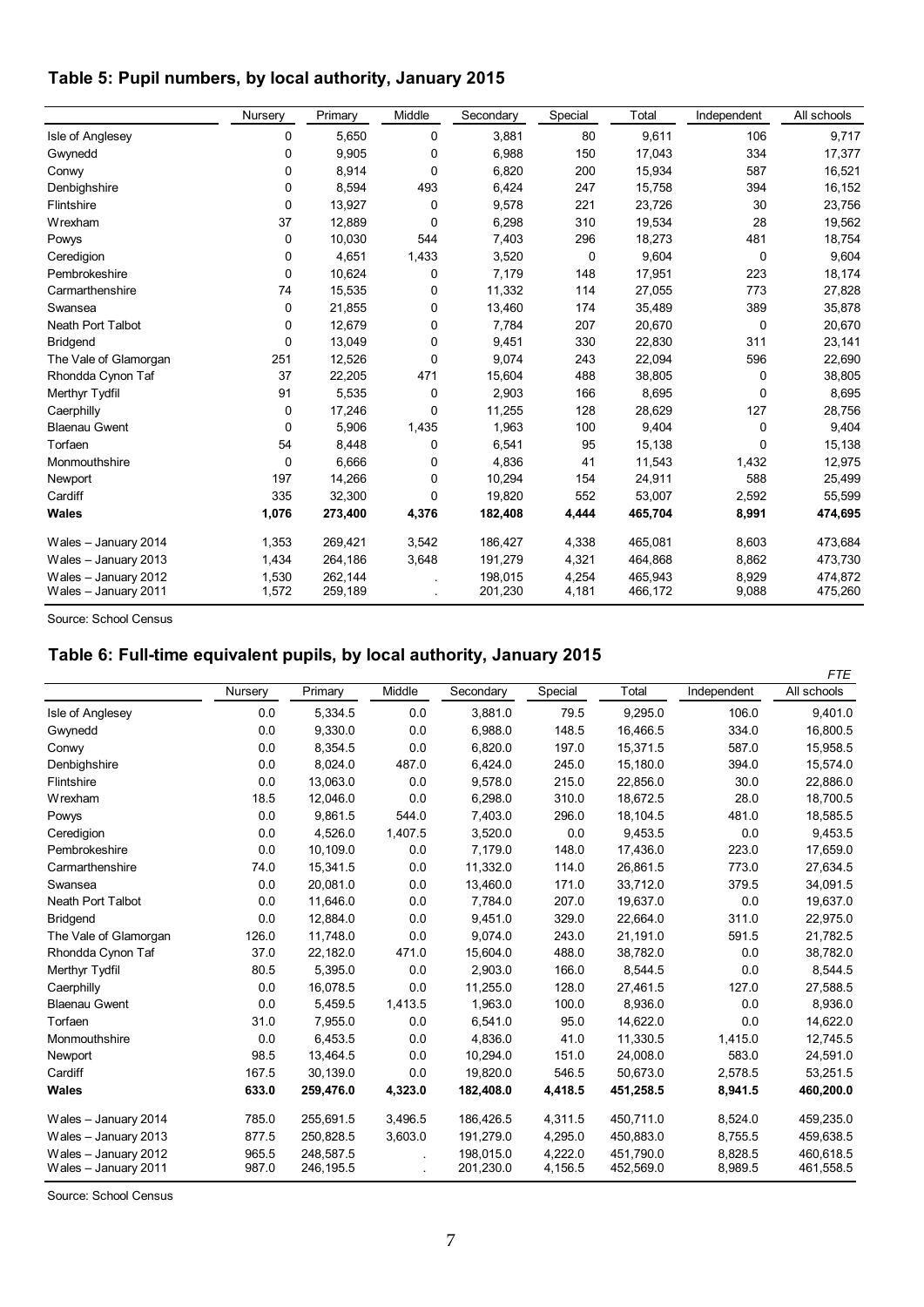## <span id="page-6-0"></span>**Table 5: Pupil numbers, by local authority, January 2015**

|                                              | Nursery        | Primary            | Middle      | Secondary          | Special        | Total              | Independent    | All schools        |
|----------------------------------------------|----------------|--------------------|-------------|--------------------|----------------|--------------------|----------------|--------------------|
| Isle of Anglesey                             | 0              | 5,650              | 0           | 3,881              | 80             | 9,611              | 106            | 9,717              |
| Gwynedd                                      | 0              | 9,905              | 0           | 6,988              | 150            | 17,043             | 334            | 17,377             |
| Conwy                                        | 0              | 8,914              | 0           | 6,820              | 200            | 15,934             | 587            | 16,521             |
| Denbighshire                                 | 0              | 8,594              | 493         | 6,424              | 247            | 15,758             | 394            | 16,152             |
| Flintshire                                   | $\mathbf 0$    | 13,927             | 0           | 9,578              | 221            | 23,726             | 30             | 23,756             |
| Wrexham                                      | 37             | 12,889             | 0           | 6,298              | 310            | 19,534             | 28             | 19,562             |
| Powys                                        | 0              | 10,030             | 544         | 7,403              | 296            | 18,273             | 481            | 18,754             |
| Ceredigion                                   | 0              | 4,651              | 1,433       | 3,520              | $\mathbf 0$    | 9,604              | 0              | 9,604              |
| Pembrokeshire                                | 0              | 10,624             | 0           | 7,179              | 148            | 17,951             | 223            | 18,174             |
| Carmarthenshire                              | 74             | 15,535             | 0           | 11,332             | 114            | 27,055             | 773            | 27,828             |
| Swansea                                      | 0              | 21,855             | 0           | 13,460             | 174            | 35,489             | 389            | 35,878             |
| <b>Neath Port Talbot</b>                     | 0              | 12,679             | 0           | 7,784              | 207            | 20,670             | 0              | 20,670             |
| <b>Bridgend</b>                              | 0              | 13,049             | 0           | 9,451              | 330            | 22,830             | 311            | 23,141             |
| The Vale of Glamorgan                        | 251            | 12,526             | $\mathbf 0$ | 9,074              | 243            | 22,094             | 596            | 22,690             |
| Rhondda Cynon Taf                            | 37             | 22,205             | 471         | 15,604             | 488            | 38,805             | 0              | 38,805             |
| Merthyr Tydfil                               | 91             | 5,535              | 0           | 2.903              | 166            | 8,695              | 0              | 8,695              |
| Caerphilly                                   | 0              | 17,246             | 0           | 11,255             | 128            | 28,629             | 127            | 28,756             |
| <b>Blaenau Gwent</b>                         | 0              | 5,906              | 1,435       | 1,963              | 100            | 9,404              | 0              | 9,404              |
| Torfaen                                      | 54             | 8,448              | 0           | 6,541              | 95             | 15,138             | 0              | 15,138             |
| Monmouthshire                                | 0              | 6,666              | 0           | 4,836              | 41             | 11,543             | 1,432          | 12,975             |
| Newport                                      | 197            | 14,266             | 0           | 10,294             | 154            | 24,911             | 588            | 25,499             |
| Cardiff                                      | 335            | 32,300             | 0           | 19,820             | 552            | 53,007             | 2,592          | 55,599             |
| <b>Wales</b>                                 | 1,076          | 273,400            | 4,376       | 182,408            | 4,444          | 465,704            | 8,991          | 474,695            |
| Wales - January 2014                         | 1,353          | 269,421            | 3,542       | 186,427            | 4,338          | 465,081            | 8,603          | 473,684            |
| Wales - January 2013                         | 1,434          | 264,186            | 3,648       | 191,279            | 4,321          | 464,868            | 8,862          | 473,730            |
| Wales - January 2012<br>Wales - January 2011 | 1,530<br>1,572 | 262,144<br>259,189 |             | 198.015<br>201,230 | 4,254<br>4,181 | 465,943<br>466,172 | 8,929<br>9,088 | 474,872<br>475,260 |

Source: School Census

## <span id="page-6-1"></span>**Table 6: Full-time equivalent pupils, by local authority, January 2015**

|                                              |                |                        |         |                        |                    |                        |                    | <b>FTE</b>             |
|----------------------------------------------|----------------|------------------------|---------|------------------------|--------------------|------------------------|--------------------|------------------------|
|                                              | Nursery        | Primary                | Middle  | Secondary              | Special            | Total                  | Independent        | All schools            |
| Isle of Anglesey                             | 0.0            | 5,334.5                | 0.0     | 3,881.0                | 79.5               | 9,295.0                | 106.0              | 9,401.0                |
| Gwynedd                                      | 0.0            | 9,330.0                | 0.0     | 6,988.0                | 148.5              | 16,466.5               | 334.0              | 16,800.5               |
| Conwy                                        | 0.0            | 8,354.5                | 0.0     | 6,820.0                | 197.0              | 15,371.5               | 587.0              | 15,958.5               |
| Denbighshire                                 | 0.0            | 8,024.0                | 487.0   | 6,424.0                | 245.0              | 15,180.0               | 394.0              | 15,574.0               |
| Flintshire                                   | 0.0            | 13,063.0               | 0.0     | 9,578.0                | 215.0              | 22,856.0               | 30.0               | 22,886.0               |
| Wrexham                                      | 18.5           | 12.046.0               | 0.0     | 6,298.0                | 310.0              | 18,672.5               | 28.0               | 18,700.5               |
| Powys                                        | 0.0            | 9,861.5                | 544.0   | 7,403.0                | 296.0              | 18,104.5               | 481.0              | 18,585.5               |
| Ceredigion                                   | 0.0            | 4,526.0                | 1,407.5 | 3,520.0                | 0.0                | 9,453.5                | 0.0                | 9,453.5                |
| Pembrokeshire                                | 0.0            | 10.109.0               | 0.0     | 7,179.0                | 148.0              | 17,436.0               | 223.0              | 17,659.0               |
| Carmarthenshire                              | 74.0           | 15,341.5               | 0.0     | 11,332.0               | 114.0              | 26,861.5               | 773.0              | 27,634.5               |
| Swansea                                      | 0.0            | 20.081.0               | 0.0     | 13,460.0               | 171.0              | 33,712.0               | 379.5              | 34,091.5               |
| Neath Port Talbot                            | 0.0            | 11,646.0               | 0.0     | 7,784.0                | 207.0              | 19,637.0               | 0.0                | 19,637.0               |
| <b>Bridgend</b>                              | 0.0            | 12.884.0               | 0.0     | 9,451.0                | 329.0              | 22.664.0               | 311.0              | 22,975.0               |
| The Vale of Glamorgan                        | 126.0          | 11,748.0               | 0.0     | 9,074.0                | 243.0              | 21,191.0               | 591.5              | 21,782.5               |
| Rhondda Cynon Taf                            | 37.0           | 22,182.0               | 471.0   | 15,604.0               | 488.0              | 38,782.0               | 0.0                | 38,782.0               |
| Merthyr Tydfil                               | 80.5           | 5,395.0                | 0.0     | 2,903.0                | 166.0              | 8,544.5                | 0.0                | 8,544.5                |
| Caerphilly                                   | 0.0            | 16,078.5               | 0.0     | 11,255.0               | 128.0              | 27,461.5               | 127.0              | 27,588.5               |
| <b>Blaenau Gwent</b>                         | 0.0            | 5,459.5                | 1,413.5 | 1,963.0                | 100.0              | 8,936.0                | 0.0                | 8,936.0                |
| Torfaen                                      | 31.0           | 7,955.0                | 0.0     | 6,541.0                | 95.0               | 14,622.0               | 0.0                | 14,622.0               |
| Monmouthshire                                | 0.0            | 6,453.5                | 0.0     | 4,836.0                | 41.0               | 11,330.5               | 1,415.0            | 12,745.5               |
| Newport                                      | 98.5           | 13,464.5               | 0.0     | 10,294.0               | 151.0              | 24,008.0               | 583.0              | 24,591.0               |
| Cardiff                                      | 167.5          | 30,139.0               | 0.0     | 19,820.0               | 546.5              | 50,673.0               | 2,578.5            | 53,251.5               |
| <b>Wales</b>                                 | 633.0          | 259,476.0              | 4,323.0 | 182,408.0              | 4,418.5            | 451,258.5              | 8,941.5            | 460,200.0              |
| Wales - January 2014                         | 785.0          | 255,691.5              | 3,496.5 | 186,426.5              | 4,311.5            | 450,711.0              | 8,524.0            | 459,235.0              |
| Wales - January 2013                         | 877.5          | 250,828.5              | 3,603.0 | 191,279.0              | 4,295.0            | 450,883.0              | 8,755.5            | 459,638.5              |
| Wales - January 2012<br>Wales - January 2011 | 965.5<br>987.0 | 248,587.5<br>246,195.5 |         | 198.015.0<br>201,230.0 | 4,222.0<br>4,156.5 | 451,790.0<br>452,569.0 | 8.828.5<br>8,989.5 | 460.618.5<br>461,558.5 |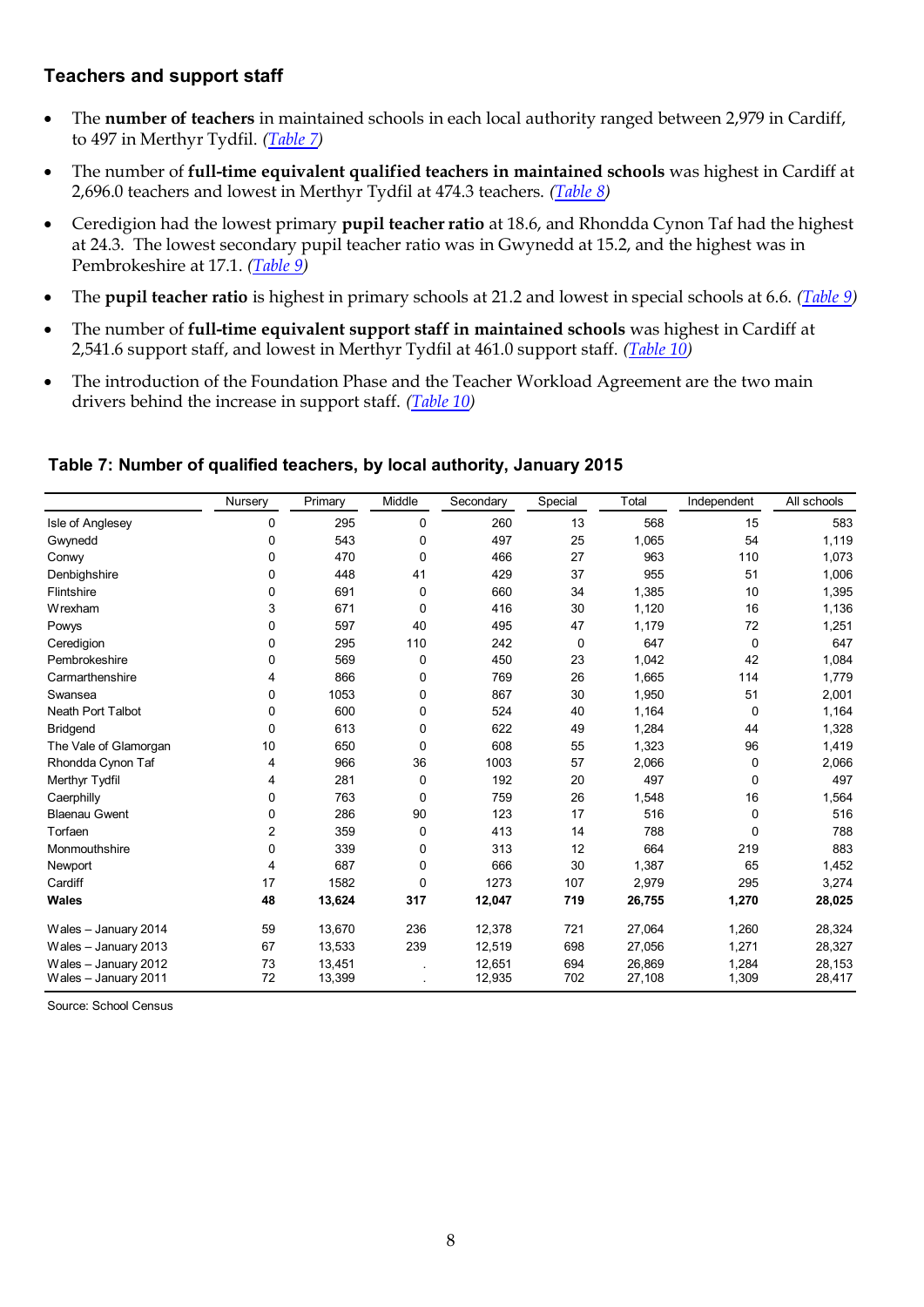## **Teachers and support staff**

- The **number of teachers** in maintained schools in each local authority ranged between 2,979 in Cardiff, to 497 in Merthyr Tydfil. *[\(Table 7\)](#page-6-1)*
- The number of **full-time equivalent qualified teachers in maintained schools** was highest in Cardiff at 2,696.0 teachers and lowest in Merthyr Tydfil at 474.3 teachers. *[\(Table 8\)](#page-7-0)*
- Ceredigion had the lowest primary **pupil teacher ratio** at 18.6, and Rhondda Cynon Taf had the highest at 24.3. The lowest secondary pupil teacher ratio was in Gwynedd at 15.2, and the highest was in Pembrokeshire at 17.1. *(Table 9)*
- The **pupil teacher ratio** is highest in primary schools at 21.2 and lowest in special schools at 6.6. *(Table 9)*
- The number of **full-time equivalent support staff in maintained schools** was highest in Cardiff at 2,541.6 support staff, and lowest in Merthyr Tydfil at 461.0 support staff. *[\(Table 10\)](#page-8-0)*
- The introduction of the Foundation Phase and the Teacher Workload Agreement are the two main drivers behind the increase in support staff. *[\(Table 10\)](#page-8-0)*

#### **Table 7: Number of qualified teachers, by local authority, January 2015**

<span id="page-7-0"></span>

|                                              | Nursery  | Primary          | Middle | Secondary        | Special    | Total            | Independent    | All schools      |
|----------------------------------------------|----------|------------------|--------|------------------|------------|------------------|----------------|------------------|
| Isle of Anglesey                             | 0        | 295              | 0      | 260              | 13         | 568              | 15             | 583              |
| Gwynedd                                      | 0        | 543              | 0      | 497              | 25         | 1,065            | 54             | 1,119            |
| Conwy                                        | 0        | 470              | 0      | 466              | 27         | 963              | 110            | 1,073            |
| Denbighshire                                 | 0        | 448              | 41     | 429              | 37         | 955              | 51             | 1,006            |
| Flintshire                                   | 0        | 691              | 0      | 660              | 34         | 1,385            | 10             | 1,395            |
| Wrexham                                      | 3        | 671              | 0      | 416              | 30         | 1,120            | 16             | 1,136            |
| Powys                                        | 0        | 597              | 40     | 495              | 47         | 1,179            | 72             | 1,251            |
| Ceredigion                                   | 0        | 295              | 110    | 242              | 0          | 647              | 0              | 647              |
| Pembrokeshire                                | 0        | 569              | 0      | 450              | 23         | 1,042            | 42             | 1,084            |
| Carmarthenshire                              | 4        | 866              | 0      | 769              | 26         | 1,665            | 114            | 1,779            |
| Swansea                                      | 0        | 1053             | 0      | 867              | 30         | 1,950            | 51             | 2,001            |
| <b>Neath Port Talbot</b>                     | 0        | 600              | 0      | 524              | 40         | 1,164            | 0              | 1,164            |
| <b>Bridgend</b>                              | 0        | 613              | 0      | 622              | 49         | 1,284            | 44             | 1,328            |
| The Vale of Glamorgan                        | 10       | 650              | 0      | 608              | 55         | 1,323            | 96             | 1,419            |
| Rhondda Cynon Taf                            | 4        | 966              | 36     | 1003             | 57         | 2,066            | 0              | 2,066            |
| Merthyr Tydfil                               | 4        | 281              | 0      | 192              | 20         | 497              | $\Omega$       | 497              |
| Caerphilly                                   | 0        | 763              | 0      | 759              | 26         | 1,548            | 16             | 1,564            |
| <b>Blaenau Gwent</b>                         | 0        | 286              | 90     | 123              | 17         | 516              | 0              | 516              |
| Torfaen                                      | 2        | 359              | 0      | 413              | 14         | 788              | $\Omega$       | 788              |
| Monmouthshire                                | 0        | 339              | 0      | 313              | 12         | 664              | 219            | 883              |
| Newport                                      | 4        | 687              | 0      | 666              | 30         | 1,387            | 65             | 1,452            |
| Cardiff                                      | 17       | 1582             | 0      | 1273             | 107        | 2,979            | 295            | 3,274            |
| Wales                                        | 48       | 13,624           | 317    | 12,047           | 719        | 26,755           | 1,270          | 28,025           |
| Wales - January 2014                         | 59       | 13,670           | 236    | 12,378           | 721        | 27,064           | 1,260          | 28,324           |
| Wales - January 2013                         | 67       | 13,533           | 239    | 12,519           | 698        | 27,056           | 1,271          | 28,327           |
| Wales - January 2012<br>Wales - January 2011 | 73<br>72 | 13,451<br>13,399 |        | 12,651<br>12,935 | 694<br>702 | 26,869<br>27,108 | 1,284<br>1,309 | 28,153<br>28,417 |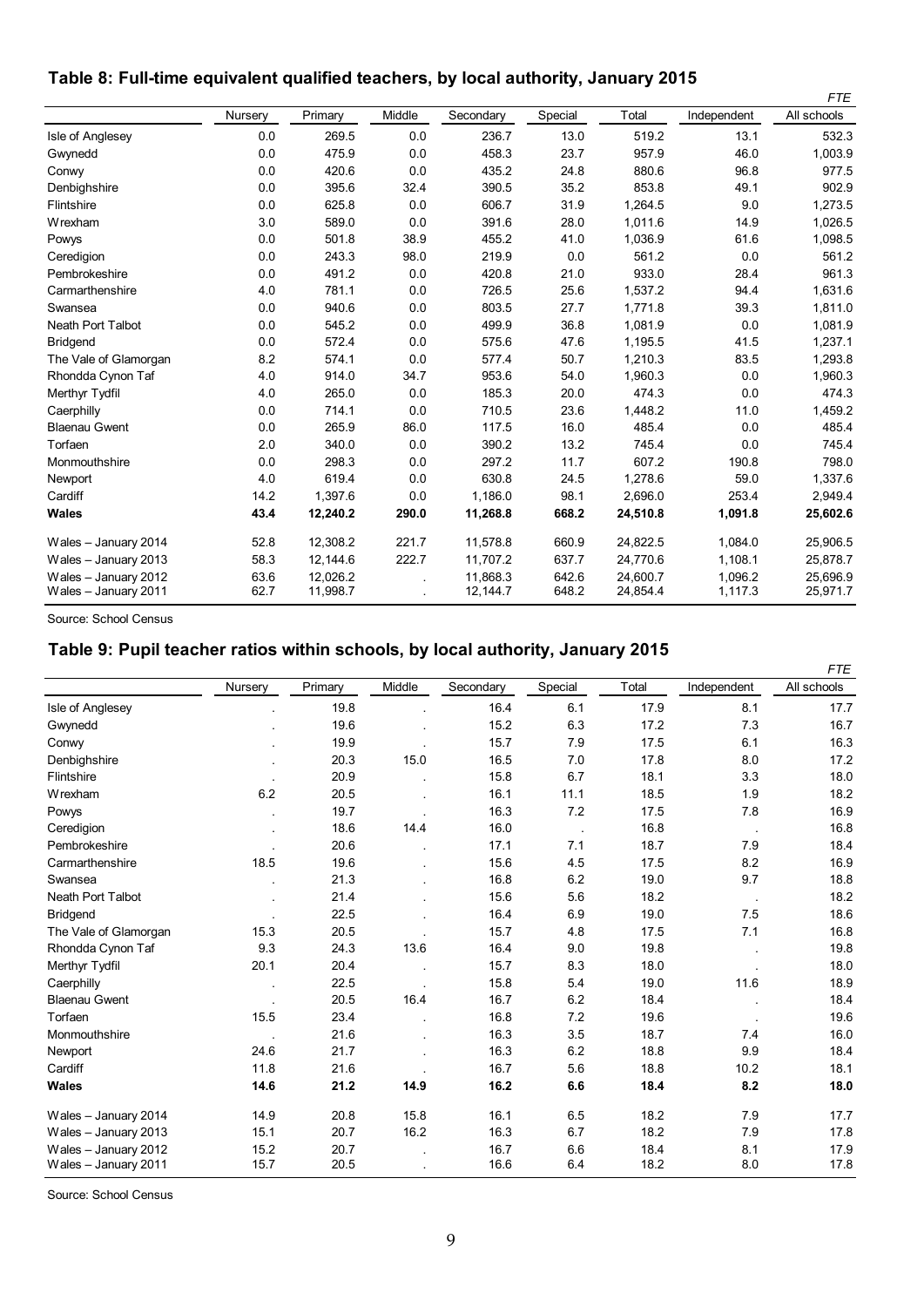## **Table 8: Full-time equivalent qualified teachers, by local authority, January 2015**

|                       |         |          |        |           |         |          |             | <b>FTE</b>  |
|-----------------------|---------|----------|--------|-----------|---------|----------|-------------|-------------|
|                       | Nursery | Primary  | Middle | Secondary | Special | Total    | Independent | All schools |
| Isle of Anglesey      | 0.0     | 269.5    | 0.0    | 236.7     | 13.0    | 519.2    | 13.1        | 532.3       |
| Gwynedd               | 0.0     | 475.9    | 0.0    | 458.3     | 23.7    | 957.9    | 46.0        | 1,003.9     |
| Conwy                 | 0.0     | 420.6    | 0.0    | 435.2     | 24.8    | 880.6    | 96.8        | 977.5       |
| Denbighshire          | 0.0     | 395.6    | 32.4   | 390.5     | 35.2    | 853.8    | 49.1        | 902.9       |
| Flintshire            | 0.0     | 625.8    | 0.0    | 606.7     | 31.9    | 1,264.5  | 9.0         | 1,273.5     |
| Wrexham               | 3.0     | 589.0    | 0.0    | 391.6     | 28.0    | 1,011.6  | 14.9        | 1,026.5     |
| Powys                 | 0.0     | 501.8    | 38.9   | 455.2     | 41.0    | 1,036.9  | 61.6        | 1,098.5     |
| Ceredigion            | 0.0     | 243.3    | 98.0   | 219.9     | 0.0     | 561.2    | 0.0         | 561.2       |
| Pembrokeshire         | 0.0     | 491.2    | 0.0    | 420.8     | 21.0    | 933.0    | 28.4        | 961.3       |
| Carmarthenshire       | 4.0     | 781.1    | 0.0    | 726.5     | 25.6    | 1,537.2  | 94.4        | 1,631.6     |
| Swansea               | 0.0     | 940.6    | 0.0    | 803.5     | 27.7    | 1.771.8  | 39.3        | 1,811.0     |
| Neath Port Talbot     | 0.0     | 545.2    | 0.0    | 499.9     | 36.8    | 1,081.9  | 0.0         | 1,081.9     |
| <b>Bridgend</b>       | 0.0     | 572.4    | 0.0    | 575.6     | 47.6    | 1,195.5  | 41.5        | 1,237.1     |
| The Vale of Glamorgan | 8.2     | 574.1    | 0.0    | 577.4     | 50.7    | 1,210.3  | 83.5        | 1,293.8     |
| Rhondda Cynon Taf     | 4.0     | 914.0    | 34.7   | 953.6     | 54.0    | 1,960.3  | 0.0         | 1,960.3     |
| Merthyr Tydfil        | 4.0     | 265.0    | 0.0    | 185.3     | 20.0    | 474.3    | 0.0         | 474.3       |
| Caerphilly            | 0.0     | 714.1    | 0.0    | 710.5     | 23.6    | 1,448.2  | 11.0        | 1,459.2     |
| <b>Blaenau Gwent</b>  | 0.0     | 265.9    | 86.0   | 117.5     | 16.0    | 485.4    | 0.0         | 485.4       |
| Torfaen               | 2.0     | 340.0    | 0.0    | 390.2     | 13.2    | 745.4    | 0.0         | 745.4       |
| Monmouthshire         | 0.0     | 298.3    | 0.0    | 297.2     | 11.7    | 607.2    | 190.8       | 798.0       |
| Newport               | 4.0     | 619.4    | 0.0    | 630.8     | 24.5    | 1,278.6  | 59.0        | 1,337.6     |
| Cardiff               | 14.2    | 1.397.6  | 0.0    | 1.186.0   | 98.1    | 2,696.0  | 253.4       | 2,949.4     |
| Wales                 | 43.4    | 12,240.2 | 290.0  | 11,268.8  | 668.2   | 24,510.8 | 1,091.8     | 25,602.6    |
| Wales - January 2014  | 52.8    | 12,308.2 | 221.7  | 11,578.8  | 660.9   | 24,822.5 | 1,084.0     | 25,906.5    |
| Wales - January 2013  | 58.3    | 12,144.6 | 222.7  | 11,707.2  | 637.7   | 24,770.6 | 1,108.1     | 25,878.7    |
| Wales - January 2012  | 63.6    | 12,026.2 |        | 11,868.3  | 642.6   | 24,600.7 | 1,096.2     | 25,696.9    |
| Wales - January 2011  | 62.7    | 11,998.7 |        | 12,144.7  | 648.2   | 24,854.4 | 1,117.3     | 25,971.7    |

Source: School Census

## **Table 9: Pupil teacher ratios within schools, by local authority, January 2015**

<span id="page-8-0"></span>

|                          |                      |         |        |           |         |       |                      | <b>FTE</b>  |
|--------------------------|----------------------|---------|--------|-----------|---------|-------|----------------------|-------------|
|                          | Nursery              | Primary | Middle | Secondary | Special | Total | Independent          | All schools |
| Isle of Anglesey         |                      | 19.8    |        | 16.4      | 6.1     | 17.9  | 8.1                  | 17.7        |
| Gwynedd                  |                      | 19.6    |        | 15.2      | 6.3     | 17.2  | 7.3                  | 16.7        |
| Conwy                    |                      | 19.9    |        | 15.7      | 7.9     | 17.5  | 6.1                  | 16.3        |
| Denbighshire             |                      | 20.3    | 15.0   | 16.5      | 7.0     | 17.8  | 8.0                  | 17.2        |
| Flintshire               | $\ddot{\phantom{a}}$ | 20.9    |        | 15.8      | 6.7     | 18.1  | 3.3                  | 18.0        |
| Wrexham                  | 6.2                  | 20.5    |        | 16.1      | 11.1    | 18.5  | 1.9                  | 18.2        |
| Powys                    |                      | 19.7    |        | 16.3      | 7.2     | 17.5  | 7.8                  | 16.9        |
| Ceredigion               |                      | 18.6    | 14.4   | 16.0      | $\sim$  | 16.8  | $\sim$               | 16.8        |
| Pembrokeshire            |                      | 20.6    |        | 17.1      | 7.1     | 18.7  | 7.9                  | 18.4        |
| Carmarthenshire          | 18.5                 | 19.6    |        | 15.6      | 4.5     | 17.5  | 8.2                  | 16.9        |
| Swansea                  |                      | 21.3    |        | 16.8      | 6.2     | 19.0  | 9.7                  | 18.8        |
| <b>Neath Port Talbot</b> |                      | 21.4    |        | 15.6      | 5.6     | 18.2  | $\sim$               | 18.2        |
| <b>Bridgend</b>          |                      | 22.5    |        | 16.4      | 6.9     | 19.0  | 7.5                  | 18.6        |
| The Vale of Glamorgan    | 15.3                 | 20.5    |        | 15.7      | 4.8     | 17.5  | 7.1                  | 16.8        |
| Rhondda Cynon Taf        | 9.3                  | 24.3    | 13.6   | 16.4      | 9.0     | 19.8  |                      | 19.8        |
| Merthyr Tydfil           | 20.1                 | 20.4    |        | 15.7      | 8.3     | 18.0  | $\ddot{\phantom{a}}$ | 18.0        |
| Caerphilly               |                      | 22.5    |        | 15.8      | 5.4     | 19.0  | 11.6                 | 18.9        |
| <b>Blaenau Gwent</b>     |                      | 20.5    | 16.4   | 16.7      | 6.2     | 18.4  |                      | 18.4        |
| Torfaen                  | 15.5                 | 23.4    |        | 16.8      | 7.2     | 19.6  |                      | 19.6        |
| Monmouthshire            |                      | 21.6    |        | 16.3      | 3.5     | 18.7  | 7.4                  | 16.0        |
| Newport                  | 24.6                 | 21.7    |        | 16.3      | 6.2     | 18.8  | 9.9                  | 18.4        |
| Cardiff                  | 11.8                 | 21.6    |        | 16.7      | 5.6     | 18.8  | 10.2                 | 18.1        |
| <b>Wales</b>             | 14.6                 | 21.2    | 14.9   | 16.2      | 6.6     | 18.4  | 8.2                  | 18.0        |
| Wales - January 2014     | 14.9                 | 20.8    | 15.8   | 16.1      | 6.5     | 18.2  | 7.9                  | 17.7        |
| Wales - January 2013     | 15.1                 | 20.7    | 16.2   | 16.3      | 6.7     | 18.2  | 7.9                  | 17.8        |
| Wales - January 2012     | 15.2                 | 20.7    |        | 16.7      | 6.6     | 18.4  | 8.1                  | 17.9        |
| Wales - January 2011     | 15.7                 | 20.5    |        | 16.6      | 6.4     | 18.2  | 8.0                  | 17.8        |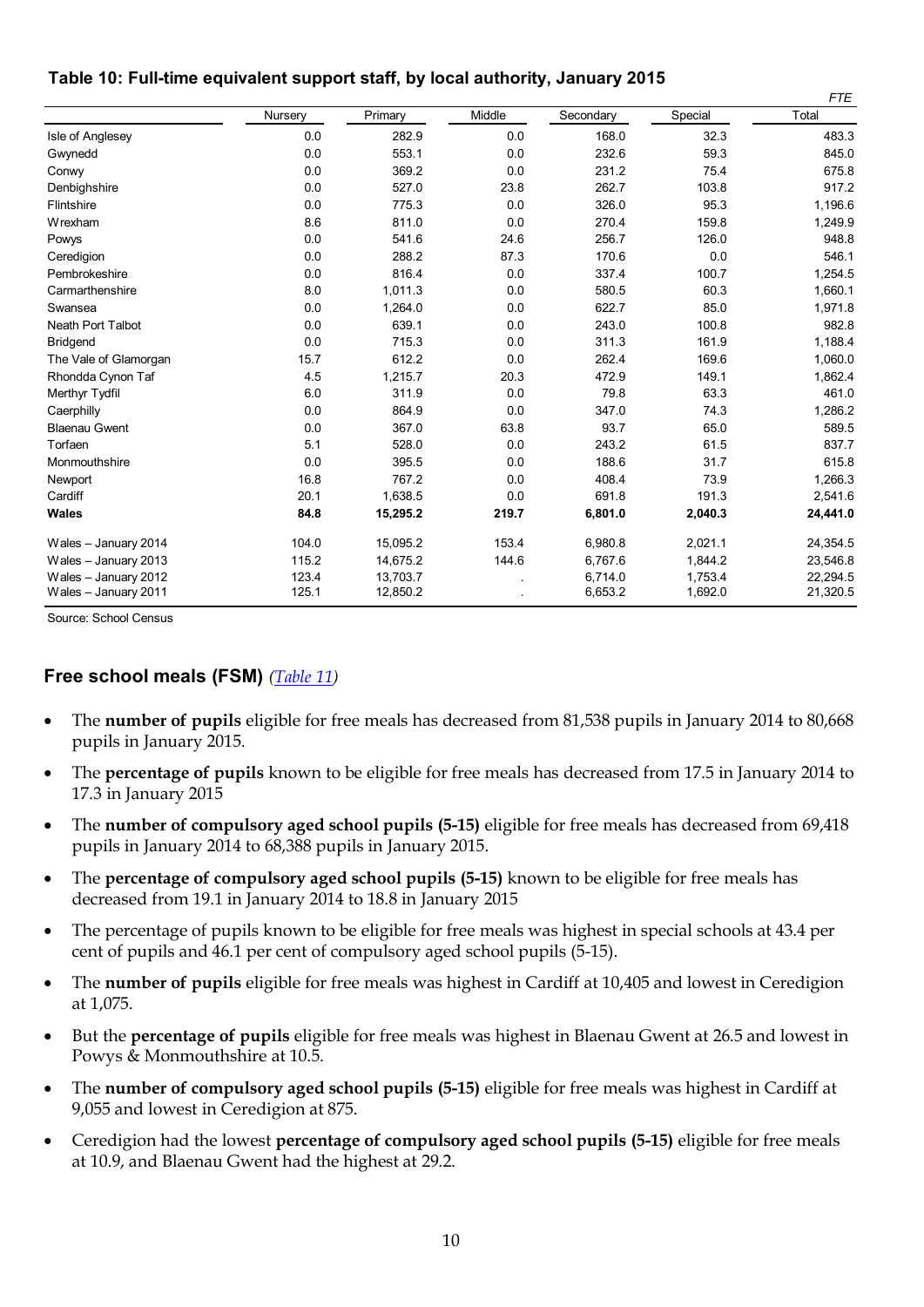#### **Table 10: Full-time equivalent support staff, by local authority, January 2015**

|                       |         |          |        |           |         | <b>FTE</b> |
|-----------------------|---------|----------|--------|-----------|---------|------------|
|                       | Nursery | Primary  | Middle | Secondary | Special | Total      |
| Isle of Anglesey      | 0.0     | 282.9    | 0.0    | 168.0     | 32.3    | 483.3      |
| Gwynedd               | 0.0     | 553.1    | 0.0    | 232.6     | 59.3    | 845.0      |
| Conwy                 | 0.0     | 369.2    | 0.0    | 231.2     | 75.4    | 675.8      |
| Denbighshire          | 0.0     | 527.0    | 23.8   | 262.7     | 103.8   | 917.2      |
| Flintshire            | 0.0     | 775.3    | 0.0    | 326.0     | 95.3    | 1,196.6    |
| Wrexham               | 8.6     | 811.0    | 0.0    | 270.4     | 159.8   | 1,249.9    |
| Powys                 | 0.0     | 541.6    | 24.6   | 256.7     | 126.0   | 948.8      |
| Ceredigion            | 0.0     | 288.2    | 87.3   | 170.6     | 0.0     | 546.1      |
| Pembrokeshire         | 0.0     | 816.4    | 0.0    | 337.4     | 100.7   | 1,254.5    |
| Carmarthenshire       | 8.0     | 1,011.3  | 0.0    | 580.5     | 60.3    | 1,660.1    |
| Swansea               | 0.0     | 1,264.0  | 0.0    | 622.7     | 85.0    | 1,971.8    |
| Neath Port Talbot     | 0.0     | 639.1    | 0.0    | 243.0     | 100.8   | 982.8      |
| <b>Bridgend</b>       | 0.0     | 715.3    | 0.0    | 311.3     | 161.9   | 1,188.4    |
| The Vale of Glamorgan | 15.7    | 612.2    | 0.0    | 262.4     | 169.6   | 1,060.0    |
| Rhondda Cynon Taf     | 4.5     | 1,215.7  | 20.3   | 472.9     | 149.1   | 1,862.4    |
| Merthyr Tydfil        | 6.0     | 311.9    | 0.0    | 79.8      | 63.3    | 461.0      |
| Caerphilly            | 0.0     | 864.9    | 0.0    | 347.0     | 74.3    | 1,286.2    |
| <b>Blaenau Gwent</b>  | 0.0     | 367.0    | 63.8   | 93.7      | 65.0    | 589.5      |
| Torfaen               | 5.1     | 528.0    | 0.0    | 243.2     | 61.5    | 837.7      |
| Monmouthshire         | 0.0     | 395.5    | 0.0    | 188.6     | 31.7    | 615.8      |
| Newport               | 16.8    | 767.2    | 0.0    | 408.4     | 73.9    | 1,266.3    |
| Cardiff               | 20.1    | 1,638.5  | 0.0    | 691.8     | 191.3   | 2,541.6    |
| Wales                 | 84.8    | 15,295.2 | 219.7  | 6,801.0   | 2,040.3 | 24,441.0   |
| Wales - January 2014  | 104.0   | 15,095.2 | 153.4  | 6,980.8   | 2,021.1 | 24,354.5   |
| Wales - January 2013  | 115.2   | 14,675.2 | 144.6  | 6,767.6   | 1,844.2 | 23,546.8   |
| Wales - January 2012  | 123.4   | 13,703.7 |        | 6,714.0   | 1,753.4 | 22,294.5   |
| Wales - January 2011  | 125.1   | 12,850.2 |        | 6,653.2   | 1,692.0 | 21,320.5   |

<span id="page-9-0"></span>Source: School Census

## **Free school meals (FSM)** *[\(Table 11\)](#page-9-0)*

- The **number of pupils** eligible for free meals has decreased from 81,538 pupils in January 2014 to 80,668 pupils in January 2015.
- The **percentage of pupils** known to be eligible for free meals has decreased from 17.5 in January 2014 to 17.3 in January 2015
- The **number of compulsory aged school pupils (5-15)** eligible for free meals has decreased from 69,418 pupils in January 2014 to 68,388 pupils in January 2015.
- The **percentage of compulsory aged school pupils (5-15)** known to be eligible for free meals has decreased from 19.1 in January 2014 to 18.8 in January 2015
- The percentage of pupils known to be eligible for free meals was highest in special schools at 43.4 per cent of pupils and 46.1 per cent of compulsory aged school pupils (5-15).
- The **number of pupils** eligible for free meals was highest in Cardiff at 10,405 and lowest in Ceredigion at 1,075.
- But the **percentage of pupils** eligible for free meals was highest in Blaenau Gwent at 26.5 and lowest in Powys & Monmouthshire at 10.5.
- The **number of compulsory aged school pupils (5-15)** eligible for free meals was highest in Cardiff at 9,055 and lowest in Ceredigion at 875.
- Ceredigion had the lowest **percentage of compulsory aged school pupils (5-15)** eligible for free meals at 10.9, and Blaenau Gwent had the highest at 29.2.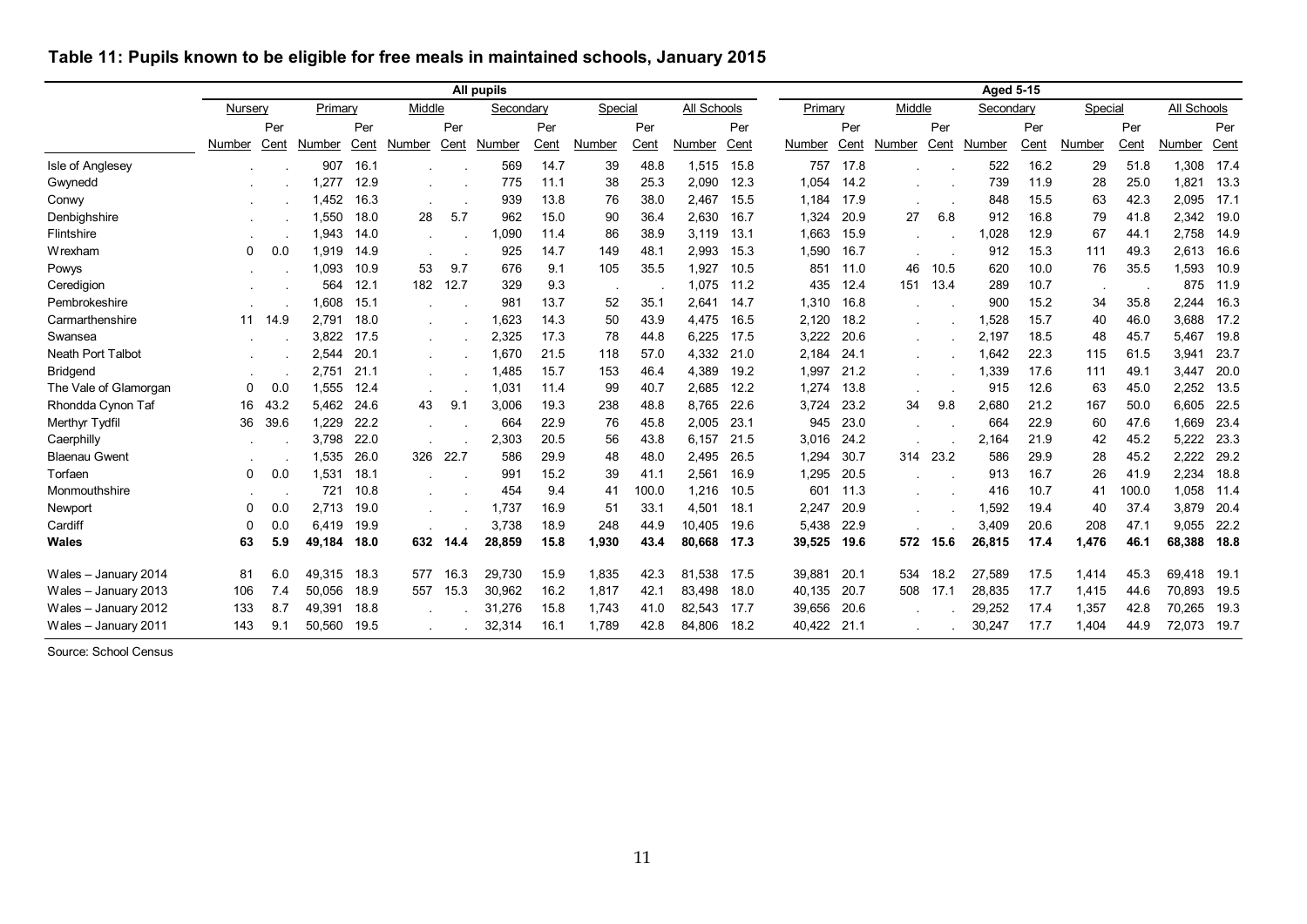|                       | All pupils |      |         |      |        |      |           |      |         |       |             |      | <b>Aged 5-15</b> |      |           |      |           |      |         |       |             |      |
|-----------------------|------------|------|---------|------|--------|------|-----------|------|---------|-------|-------------|------|------------------|------|-----------|------|-----------|------|---------|-------|-------------|------|
|                       | Nursery    |      | Primary |      | Middle |      | Secondary |      | Special |       | All Schools |      | Primary          |      | Middle    |      | Secondary |      | Special |       | All Schools |      |
|                       |            | Per  |         | Per  |        | Per  |           | Per  |         | Per   |             | Per  |                  | Per  |           | Per  |           | Per  |         | Per   |             | Per  |
|                       | Number     | Cent | Number  | Cent | Number | Cent | Number    | Cent | Number  | Cent  | Number      | Cent | Number           | Cent | Number    | Cent | Number    | Cent | Number  | Cent  | Number      | Cent |
| Isle of Anglesey      |            |      | 907     | 16.1 |        |      | 569       | 14.7 | 39      | 48.8  | 1,515       | 15.8 | 757              | 17.8 |           |      | 522       | 16.2 | 29      | 51.8  | 1.308       | 17.4 |
| Gwynedd               |            |      | 1,277   | 12.9 |        |      | 775       | 11.1 | 38      | 25.3  | 2,090       | 12.3 | 1,054            | 14.2 |           |      | 739       | 11.9 | 28      | 25.0  | 1,821       | 13.3 |
| Conwy                 |            |      | 1,452   | 16.3 |        |      | 939       | 13.8 | 76      | 38.0  | 2,467       | 15.5 | 1,184            | 17.9 |           |      | 848       | 15.5 | 63      | 42.3  | 2,095       | 17.1 |
| Denbighshire          |            |      | 1,550   | 18.0 | 28     | 5.7  | 962       | 15.0 | 90      | 36.4  | 2,630       | 16.7 | 1,324            | 20.9 | 27        | 6.8  | 912       | 16.8 | 79      | 41.8  | 2,342       | 19.0 |
| Flintshire            |            |      | 1.943   | 14.0 |        |      | .090      | 11.4 | 86      | 38.9  | 3,119       | 13.1 | 1,663            | 15.9 | $\bullet$ |      | 1,028     | 12.9 | 67      | 44.1  | 2,758       | 14.9 |
| Wrexham               | 0          | 0.0  | 1.919   | 14.9 |        |      | 925       | 14.7 | 149     | 48.1  | 2.993       | 15.3 | 1.590            | 16.7 |           |      | 912       | 15.3 | 111     | 49.3  | 2,613       | 16.6 |
| Powys                 |            |      | 1.093   | 10.9 | 53     | 9.7  | 676       | 9.1  | 105     | 35.5  | 1.927       | 10.5 | 851              | 11.0 | 46        | 10.5 | 620       | 10.0 | 76      | 35.5  | 1.593       | 10.9 |
| Ceredigion            |            |      | 564     | 12.1 | 182    | 12.7 | 329       | 9.3  |         |       | 1,075       | 11.2 | 435              | 12.4 | 151       | 13.4 | 289       | 10.7 |         |       | 875         | 11.9 |
| Pembrokeshire         |            |      | 1.608   | 15.1 |        |      | 981       | 13.7 | 52      | 35.1  | 2,641       | 14.7 | 1,310            | 16.8 |           |      | 900       | 15.2 | 34      | 35.8  | 2,244       | 16.3 |
| Carmarthenshire       | 11         | 14.9 | 2.791   | 18.0 |        |      | 1.623     | 14.3 | 50      | 43.9  | 4,475       | 16.5 | 2,120            | 18.2 |           |      | 1,528     | 15.7 | 40      | 46.0  | 3,688       | 17.2 |
| Swansea               |            |      | 3.822   | 17.5 |        |      | 2,325     | 17.3 | 78      | 44.8  | 6,225       | 17.5 | 3,222            | 20.6 |           |      | 2,197     | 18.5 | 48      | 45.7  | 5,467       | 19.8 |
| Neath Port Talbot     |            |      | 2,544   | 20.1 |        |      | 1,670     | 21.5 | 118     | 57.0  | 4,332       | 21.0 | 2,184            | 24.1 |           |      | 1,642     | 22.3 | 115     | 61.5  | 3,941       | 23.7 |
| <b>Bridgend</b>       |            |      | 2,751   | 21.1 |        |      | 1.485     | 15.7 | 153     | 46.4  | 4,389       | 19.2 | 1,997            | 21.2 |           |      | 1,339     | 17.6 | 111     | 49.1  | 3.447       | 20.0 |
| The Vale of Glamorgan | 0          | 0.0  | 1,555   | 12.4 |        |      | 1,031     | 11.4 | 99      | 40.7  | 2,685       | 12.2 | 1,274            | 13.8 |           |      | 915       | 12.6 | 63      | 45.0  | 2,252 13.5  |      |
| Rhondda Cynon Taf     | 16         | 43.2 | 5.462   | 24.6 | 43     | 9.1  | 3.006     | 19.3 | 238     | 48.8  | 8.765       | 22.6 | 3.724            | 23.2 | 34        | 9.8  | 2.680     | 21.2 | 167     | 50.0  | 6.605       | 22.5 |
| Merthyr Tydfil        | 36         | 39.6 | 1,229   | 22.2 |        |      | 664       | 22.9 | 76      | 45.8  | 2,005       | 23.1 | 945              | 23.0 |           |      | 664       | 22.9 | 60      | 47.6  | 1,669       | 23.4 |
| Caerphilly            |            |      | 3,798   | 22.0 |        |      | 2,303     | 20.5 | 56      | 43.8  | 6,157       | 21.5 | 3,016            | 24.2 |           |      | 2,164     | 21.9 | 42      | 45.2  | 5,222       | 23.3 |
| <b>Blaenau Gwent</b>  |            |      | 1,535   | 26.0 | 326    | 22.7 | 586       | 29.9 | 48      | 48.0  | 2,495       | 26.5 | 1,294            | 30.7 | 314       | 23.2 | 586       | 29.9 | 28      | 45.2  | 2,222       | 29.2 |
| Torfaen               | 0          | 0.0  | 1,531   | 18.1 |        |      | 991       | 15.2 | 39      | 41.1  | 2.561       | 16.9 | 1.295            | 20.5 |           |      | 913       | 16.7 | 26      | 41.9  | 2,234       | 18.8 |
| Monmouthshire         |            |      | 721     | 10.8 |        |      | 454       | 9.4  | 41      | 100.0 | 1,216       | 10.5 | 601              | 11.3 |           |      | 416       | 10.7 | 41      | 100.0 | 1,058       | 11.4 |
| Newport               |            | 0.0  | 2,713   | 19.0 |        |      | 1.737     | 16.9 | 51      | 33.1  | 4,501       | 18.1 | 2,247            | 20.9 |           |      | 1,592     | 19.4 | 40      | 37.4  | 3,879       | 20.4 |
| Cardiff               |            | 0.0  | 6.419   | 19.9 |        |      | 3,738     | 18.9 | 248     | 44.9  | 10,405      | 19.6 | 5,438            | 22.9 |           |      | 3,409     | 20.6 | 208     | 47.1  | 9.055       | 22.2 |
| Wales                 | 63         | 5.9  | 49,184  | 18.0 | 632    | 14.4 | 28,859    | 15.8 | 1,930   | 43.4  | 80.668      | 17.3 | 39,525           | 19.6 | 572       | 15.6 | 26,815    | 17.4 | 1,476   | 46.1  | 68,388 18.8 |      |
| Wales - January 2014  | 81         | 6.0  | 49,315  | 18.3 | 577    | 16.3 | 29,730    | 15.9 | 1,835   | 42.3  | 81.538      | 17.5 | 39,881           | 20.1 | 534       | 18.2 | 27,589    | 17.5 | 1,414   | 45.3  | 69,418      | 19.1 |
| Wales - January 2013  | 106        | 7.4  | 50,056  | 18.9 | 557    | 15.3 | 30,962    | 16.2 | 1,817   | 42.1  | 83,498      | 18.0 | 40,135           | 20.7 | 508       | 17.1 | 28,835    | 17.7 | 1,415   | 44.6  | 70,893      | 19.5 |
| Wales - January 2012  | 133        | 8.7  | 49,391  | 18.8 |        |      | 31,276    | 15.8 | 1,743   | 41.0  | 82,543      | 17.7 | 39,656           | 20.6 |           |      | 29,252    | 17.4 | 1,357   | 42.8  | 70.265      | 19.3 |
| Wales - January 2011  | 143        | 9.1  | 50,560  | 19.5 |        |      | 32,314    | 16.1 | 1,789   | 42.8  | 84,806      | 18.2 | 40,422           | 21.1 |           |      | 30,247    | 17.7 | 1,404   | 44.9  | 72,073      | 19.7 |

**Table 11: Pupils known to be eligible for free meals in maintained schools, January 2015**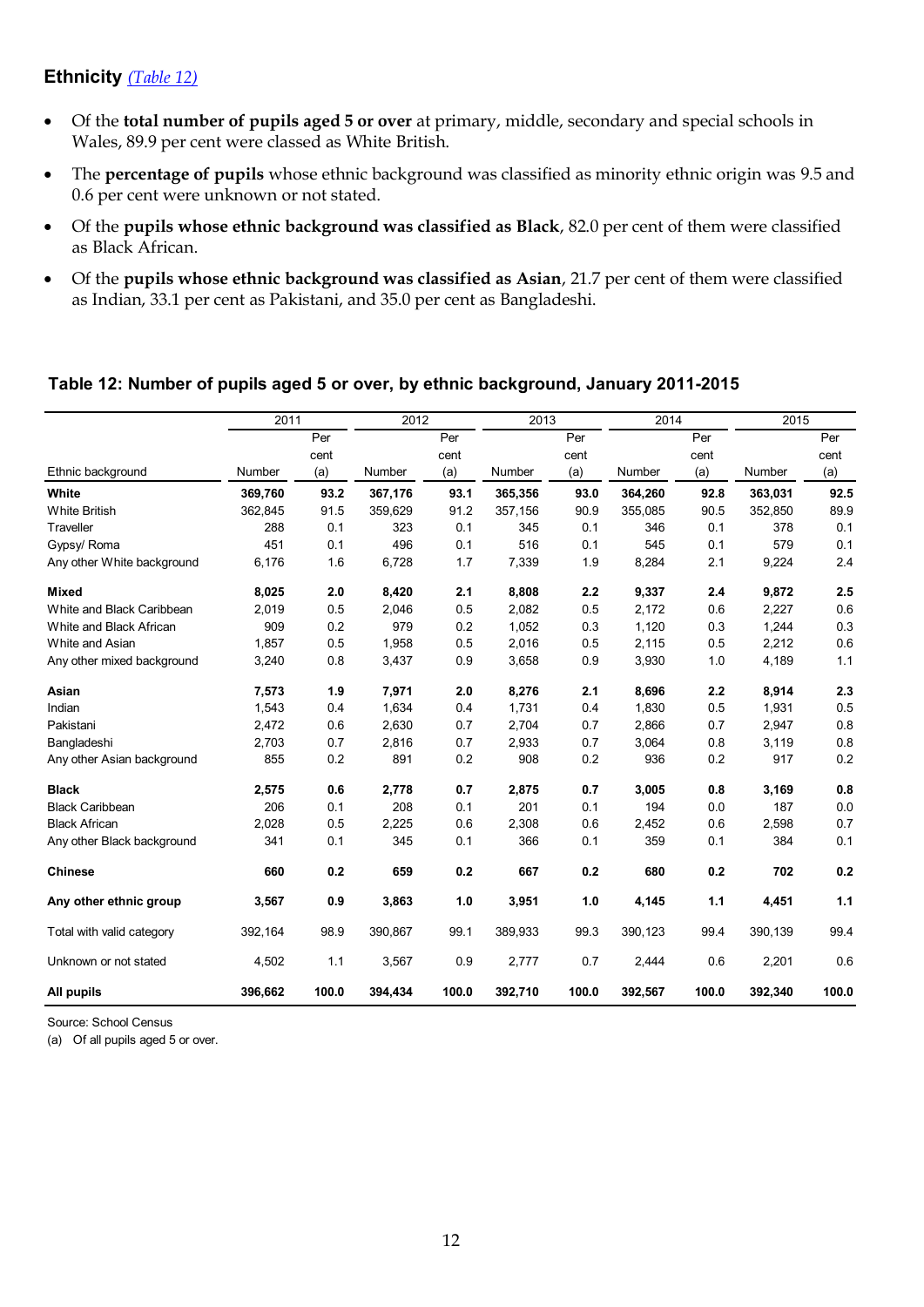## <span id="page-11-1"></span>**Ethnicity** *(Table 12)*

- Of the **total number of pupils aged 5 or over** at primary, middle, secondary and special schools in Wales, 89.9 per cent were classed as White British.
- The **percentage of pupils** whose ethnic background was classified as minority ethnic origin was 9.5 and 0.6 per cent were unknown or not stated.
- Of the **pupils whose ethnic background was classified as Black**, 82.0 per cent of them were classified as Black African.
- Of the **pupils whose ethnic background was classified as Asian**, 21.7 per cent of them were classified as Indian, 33.1 per cent as Pakistani, and 35.0 per cent as Bangladeshi.

#### **Table 12: Number of pupils aged 5 or over, by ethnic background, January 2011-2015**

|                            | 2011    |       | 2012    |       | 2013    |       | 2014    |       |         | 2015  |  |
|----------------------------|---------|-------|---------|-------|---------|-------|---------|-------|---------|-------|--|
|                            |         | Per   |         | Per   |         | Per   |         | Per   |         | Per   |  |
|                            |         | cent  |         | cent  |         | cent  |         | cent  |         | cent  |  |
| Ethnic background          | Number  | (a)   | Number  | (a)   | Number  | (a)   | Number  | (a)   | Number  | (a)   |  |
| White                      | 369,760 | 93.2  | 367,176 | 93.1  | 365,356 | 93.0  | 364,260 | 92.8  | 363,031 | 92.5  |  |
| <b>White British</b>       | 362,845 | 91.5  | 359,629 | 91.2  | 357,156 | 90.9  | 355,085 | 90.5  | 352,850 | 89.9  |  |
| Traveller                  | 288     | 0.1   | 323     | 0.1   | 345     | 0.1   | 346     | 0.1   | 378     | 0.1   |  |
| Gypsy/ Roma                | 451     | 0.1   | 496     | 0.1   | 516     | 0.1   | 545     | 0.1   | 579     | 0.1   |  |
| Any other White background | 6,176   | 1.6   | 6,728   | 1.7   | 7,339   | 1.9   | 8,284   | 2.1   | 9,224   | 2.4   |  |
| <b>Mixed</b>               | 8,025   | 2.0   | 8,420   | 2.1   | 8,808   | 2.2   | 9,337   | 2.4   | 9,872   | 2.5   |  |
| White and Black Caribbean  | 2,019   | 0.5   | 2,046   | 0.5   | 2,082   | 0.5   | 2,172   | 0.6   | 2,227   | 0.6   |  |
| White and Black African    | 909     | 0.2   | 979     | 0.2   | 1,052   | 0.3   | 1,120   | 0.3   | 1,244   | 0.3   |  |
| White and Asian            | 1,857   | 0.5   | 1,958   | 0.5   | 2,016   | 0.5   | 2,115   | 0.5   | 2,212   | 0.6   |  |
| Any other mixed background | 3,240   | 0.8   | 3,437   | 0.9   | 3,658   | 0.9   | 3,930   | 1.0   | 4,189   | 1.1   |  |
| Asian                      | 7,573   | 1.9   | 7,971   | 2.0   | 8,276   | 2.1   | 8,696   | 2.2   | 8,914   | 2.3   |  |
| Indian                     | 1,543   | 0.4   | 1,634   | 0.4   | 1,731   | 0.4   | 1,830   | 0.5   | 1,931   | 0.5   |  |
| Pakistani                  | 2,472   | 0.6   | 2,630   | 0.7   | 2,704   | 0.7   | 2,866   | 0.7   | 2,947   | 0.8   |  |
| Bangladeshi                | 2,703   | 0.7   | 2,816   | 0.7   | 2,933   | 0.7   | 3,064   | 0.8   | 3,119   | 0.8   |  |
| Any other Asian background | 855     | 0.2   | 891     | 0.2   | 908     | 0.2   | 936     | 0.2   | 917     | 0.2   |  |
| <b>Black</b>               | 2,575   | 0.6   | 2,778   | 0.7   | 2,875   | 0.7   | 3,005   | 0.8   | 3,169   | 0.8   |  |
| <b>Black Caribbean</b>     | 206     | 0.1   | 208     | 0.1   | 201     | 0.1   | 194     | 0.0   | 187     | 0.0   |  |
| <b>Black African</b>       | 2,028   | 0.5   | 2,225   | 0.6   | 2,308   | 0.6   | 2,452   | 0.6   | 2,598   | 0.7   |  |
| Any other Black background | 341     | 0.1   | 345     | 0.1   | 366     | 0.1   | 359     | 0.1   | 384     | 0.1   |  |
| <b>Chinese</b>             | 660     | 0.2   | 659     | 0.2   | 667     | 0.2   | 680     | 0.2   | 702     | 0.2   |  |
| Any other ethnic group     | 3,567   | 0.9   | 3,863   | 1.0   | 3,951   | 1.0   | 4,145   | 1.1   | 4,451   | 1.1   |  |
| Total with valid category  | 392,164 | 98.9  | 390,867 | 99.1  | 389,933 | 99.3  | 390,123 | 99.4  | 390,139 | 99.4  |  |
| Unknown or not stated      | 4,502   | 1.1   | 3,567   | 0.9   | 2,777   | 0.7   | 2,444   | 0.6   | 2,201   | 0.6   |  |
| All pupils                 | 396,662 | 100.0 | 394,434 | 100.0 | 392,710 | 100.0 | 392,567 | 100.0 | 392,340 | 100.0 |  |

Source: School Census

<span id="page-11-0"></span>(a) Of all pupils aged 5 or over.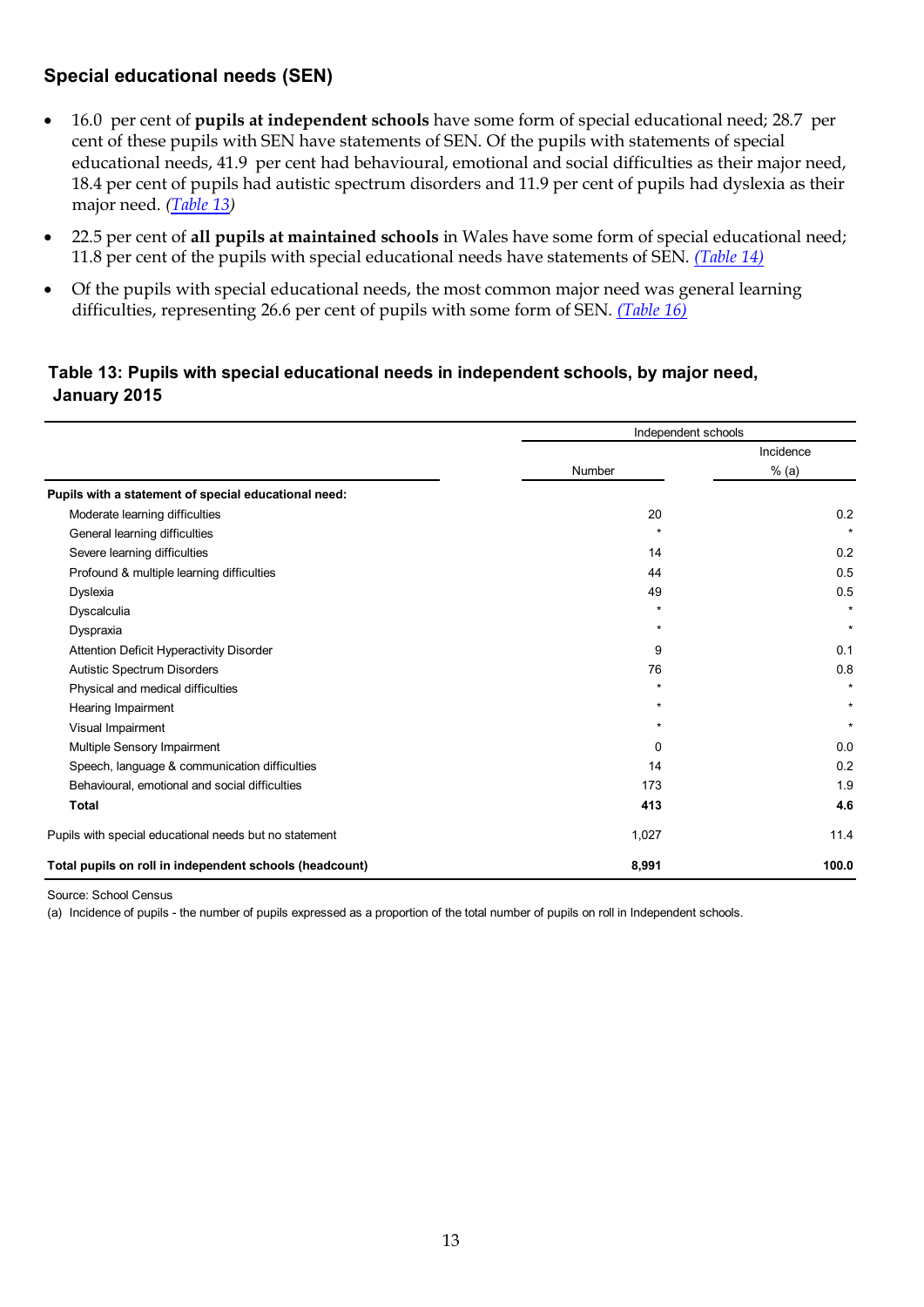## <span id="page-12-0"></span>**Special educational needs (SEN)**

- 16.0 per cent of **pupils at independent schools** have some form of special educational need; 28.7 per cent of these pupils with SEN have statements of SEN. Of the pupils with statements of special educational needs, 41.9 per cent had behavioural, emotional and social difficulties as their major need, 18.4 per cent of pupils had autistic spectrum disorders and 11.9 per cent of pupils had dyslexia as their major need. *[\(Table 13\)](#page-12-0)*
- 22.5 per cent of **all pupils at maintained schools** in Wales have some form of special educational need; 11.8 per cent of the pupils with special educational needs have statements of SEN. *(Table 14)*
- Of the pupils with special educational needs, the most common major need was general learning difficulties, representing 26.6 per cent of pupils with some form of SEN. *(Table 16)*

#### **Table 13: Pupils with special educational needs in independent schools, by major need, January 2015**

|                                                         | Independent schools |           |
|---------------------------------------------------------|---------------------|-----------|
|                                                         |                     | Incidence |
|                                                         | Number              | $%$ (a)   |
| Pupils with a statement of special educational need:    |                     |           |
| Moderate learning difficulties                          | 20                  | 0.2       |
| General learning difficulties                           | $\star$             | $\star$   |
| Severe learning difficulties                            | 14                  | 0.2       |
| Profound & multiple learning difficulties               | 44                  | 0.5       |
| Dyslexia                                                | 49                  | 0.5       |
| Dyscalculia                                             | $\star$             | $\star$   |
| Dyspraxia                                               | $\star$             | $\star$   |
| Attention Deficit Hyperactivity Disorder                | 9                   | 0.1       |
| Autistic Spectrum Disorders                             | 76                  | 0.8       |
| Physical and medical difficulties                       | $\star$             | $\star$   |
| Hearing Impairment                                      | $\star$             | $\star$   |
| Visual Impairment                                       | $\star$             | $\star$   |
| Multiple Sensory Impairment                             | 0                   | 0.0       |
| Speech, language & communication difficulties           | 14                  | 0.2       |
| Behavioural, emotional and social difficulties          | 173                 | 1.9       |
| Total                                                   | 413                 | 4.6       |
| Pupils with special educational needs but no statement  | 1,027               | 11.4      |
| Total pupils on roll in independent schools (headcount) | 8,991               | 100.0     |

Source: School Census

(a) Incidence of pupils - the number of pupils expressed as a proportion of the total number of pupils on roll in Independent schools.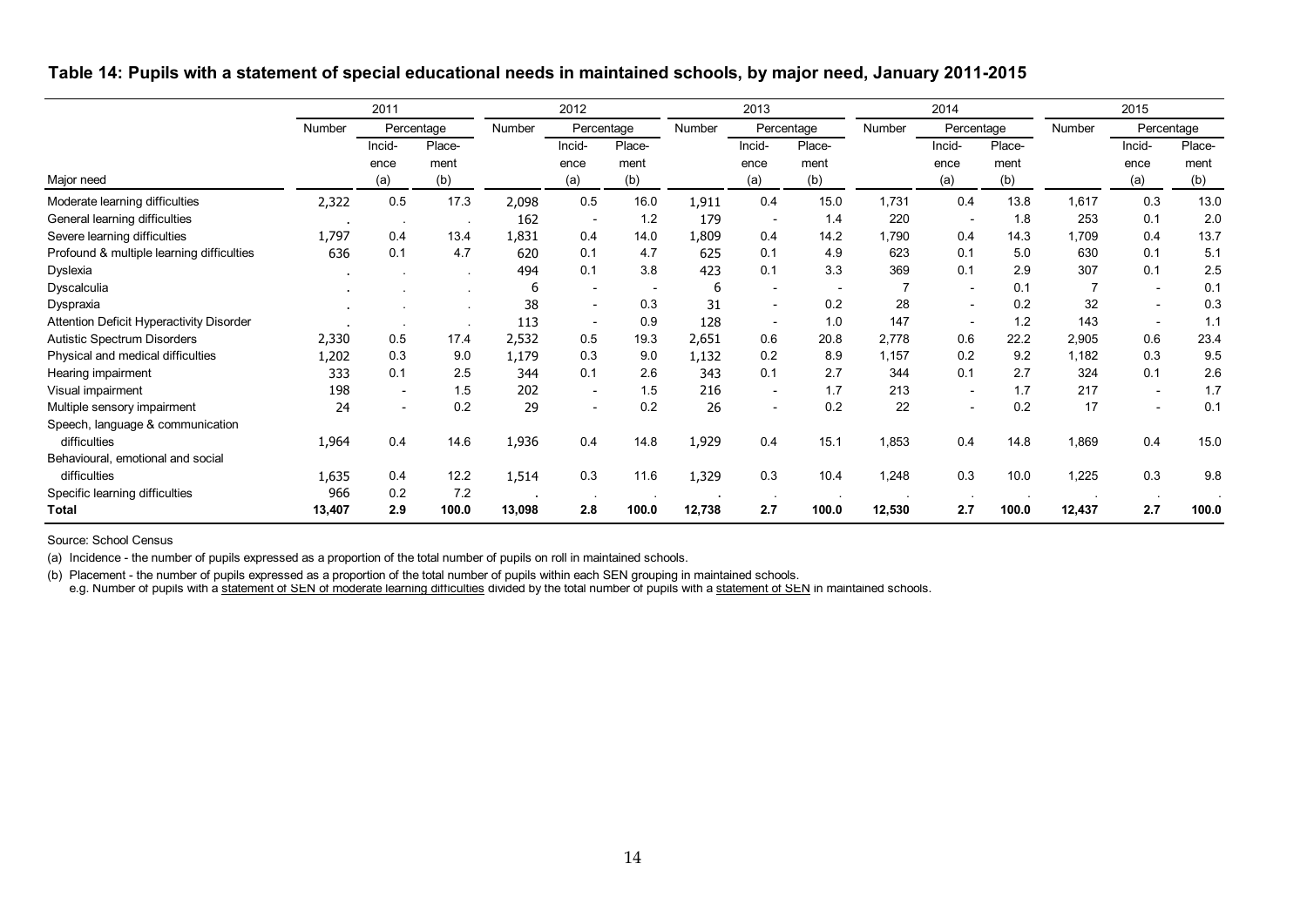**Table 14: Pupils with a statement of special educational needs in maintained schools, by major need, January 2011-2015**

|                                           | 2011   |                          |                       |        |                          | 2013                     |        |                          | 2014                  |        |                          | 2015                  |        |                          |                       |
|-------------------------------------------|--------|--------------------------|-----------------------|--------|--------------------------|--------------------------|--------|--------------------------|-----------------------|--------|--------------------------|-----------------------|--------|--------------------------|-----------------------|
| Major need                                | Number | Percentage               |                       | Number | Percentage               |                          | Number |                          | Percentage            | Number | Percentage               |                       | Number | Percentage               |                       |
|                                           |        | Incid-<br>ence<br>(a)    | Place-<br>ment<br>(b) |        | Incid-<br>ence<br>(a)    | Place-<br>ment<br>(b)    |        | Incid-<br>ence<br>(a)    | Place-<br>ment<br>(b) |        | Incid-<br>ence<br>(a)    | Place-<br>ment<br>(b) |        | Incid-<br>ence<br>(a)    | Place-<br>ment<br>(b) |
| Moderate learning difficulties            | 2,322  | 0.5                      | 17.3                  | 2,098  | 0.5                      | 16.0                     | 1,911  | 0.4                      | 15.0                  | 1,731  | 0.4                      | 13.8                  | 1,617  | 0.3                      | 13.0                  |
| General learning difficulties             |        | $\sim$ 100 $\pm$         |                       | 162    | $\overline{\phantom{a}}$ | 1.2                      | 179    | $\overline{\phantom{a}}$ | 1.4                   | 220    | $\overline{\phantom{a}}$ | 1.8                   | 253    | 0.1                      | 2.0                   |
| Severe learning difficulties              | 1,797  | 0.4                      | 13.4                  | 1,831  | 0.4                      | 14.0                     | 1,809  | 0.4                      | 14.2                  | 1,790  | 0.4                      | 14.3                  | 1,709  | 0.4                      | 13.7                  |
| Profound & multiple learning difficulties | 636    | 0.1                      | 4.7                   | 620    | 0.1                      | 4.7                      | 625    | 0.1                      | 4.9                   | 623    | 0.1                      | 5.0                   | 630    | 0.1                      | 5.1                   |
| Dyslexia                                  |        |                          |                       | 494    | 0.1                      | 3.8                      | 423    | 0.1                      | 3.3                   | 369    | 0.1                      | 2.9                   | 307    | 0.1                      | 2.5                   |
| Dyscalculia                               |        |                          |                       | 6      |                          | $\overline{\phantom{a}}$ | 6      | $\overline{\phantom{a}}$ |                       | 7      | $\overline{\phantom{a}}$ | 0.1                   | 7      | $\overline{\phantom{a}}$ | 0.1                   |
| Dyspraxia                                 |        |                          |                       | 38     | $\overline{\phantom{a}}$ | 0.3                      | 31     | $\overline{\phantom{a}}$ | 0.2                   | 28     | $\overline{\phantom{a}}$ | 0.2                   | 32     | $\overline{\phantom{a}}$ | 0.3                   |
| Attention Deficit Hyperactivity Disorder  |        | $\sim$                   |                       | 113    |                          | 0.9                      | 128    | $\overline{\phantom{0}}$ | 1.0                   | 147    |                          | 1.2                   | 143    |                          | 1.1                   |
| <b>Autistic Spectrum Disorders</b>        | 2,330  | 0.5                      | 17.4                  | 2,532  | 0.5                      | 19.3                     | 2,651  | 0.6                      | 20.8                  | 2,778  | 0.6                      | 22.2                  | 2,905  | 0.6                      | 23.4                  |
| Physical and medical difficulties         | 1,202  | 0.3                      | 9.0                   | 1,179  | 0.3                      | 9.0                      | 1,132  | 0.2                      | 8.9                   | 1,157  | 0.2                      | 9.2                   | 1,182  | 0.3                      | 9.5                   |
| Hearing impairment                        | 333    | 0.1                      | 2.5                   | 344    | 0.1                      | 2.6                      | 343    | 0.1                      | 2.7                   | 344    | 0.1                      | 2.7                   | 324    | 0.1                      | 2.6                   |
| Visual impairment                         | 198    |                          | 1.5                   | 202    |                          | 1.5                      | 216    | $\overline{\phantom{a}}$ | 1.7                   | 213    | $\overline{\phantom{a}}$ | 1.7                   | 217    | $\overline{\phantom{a}}$ | 1.7                   |
| Multiple sensory impairment               | 24     | $\overline{\phantom{a}}$ | 0.2                   | 29     | $\overline{\phantom{0}}$ | 0.2                      | 26     | $\overline{\phantom{a}}$ | 0.2                   | 22     | $\overline{\phantom{a}}$ | 0.2                   | 17     |                          | 0.1                   |
| Speech, language & communication          |        |                          |                       |        |                          |                          |        |                          |                       |        |                          |                       |        |                          |                       |
| difficulties                              | 1,964  | 0.4                      | 14.6                  | 1,936  | 0.4                      | 14.8                     | 1,929  | 0.4                      | 15.1                  | 1,853  | 0.4                      | 14.8                  | 1,869  | 0.4                      | 15.0                  |
| Behavioural, emotional and social         |        |                          |                       |        |                          |                          |        |                          |                       |        |                          |                       |        |                          |                       |
| difficulties                              | 1,635  | 0.4                      | 12.2                  | 1,514  | 0.3                      | 11.6                     | 1,329  | 0.3                      | 10.4                  | 1,248  | 0.3                      | 10.0                  | 1,225  | 0.3                      | 9.8                   |
| Specific learning difficulties            | 966    | 0.2                      | 7.2                   |        |                          |                          |        |                          |                       |        |                          |                       |        |                          |                       |
| <b>Total</b>                              | 13,407 | 2.9                      | 100.0                 | 13,098 | 2.8                      | 100.0                    | 12,738 | 2.7                      | 100.0                 | 12,530 | 2.7                      | 100.0                 | 12,437 | 2.7                      | 100.0                 |

<span id="page-13-0"></span>Source: School Census

(a) Incidence - the number of pupils expressed as a proportion of the total number of pupils on roll in maintained schools.

(b) Placement - the number of pupils expressed as a proportion of the total number of pupils within each SEN grouping in maintained schools. e.g. Number of pupils with a statement of SEN of moderate learning difficulties divided by the total number of pupils with a statement of SEN in maintained schools.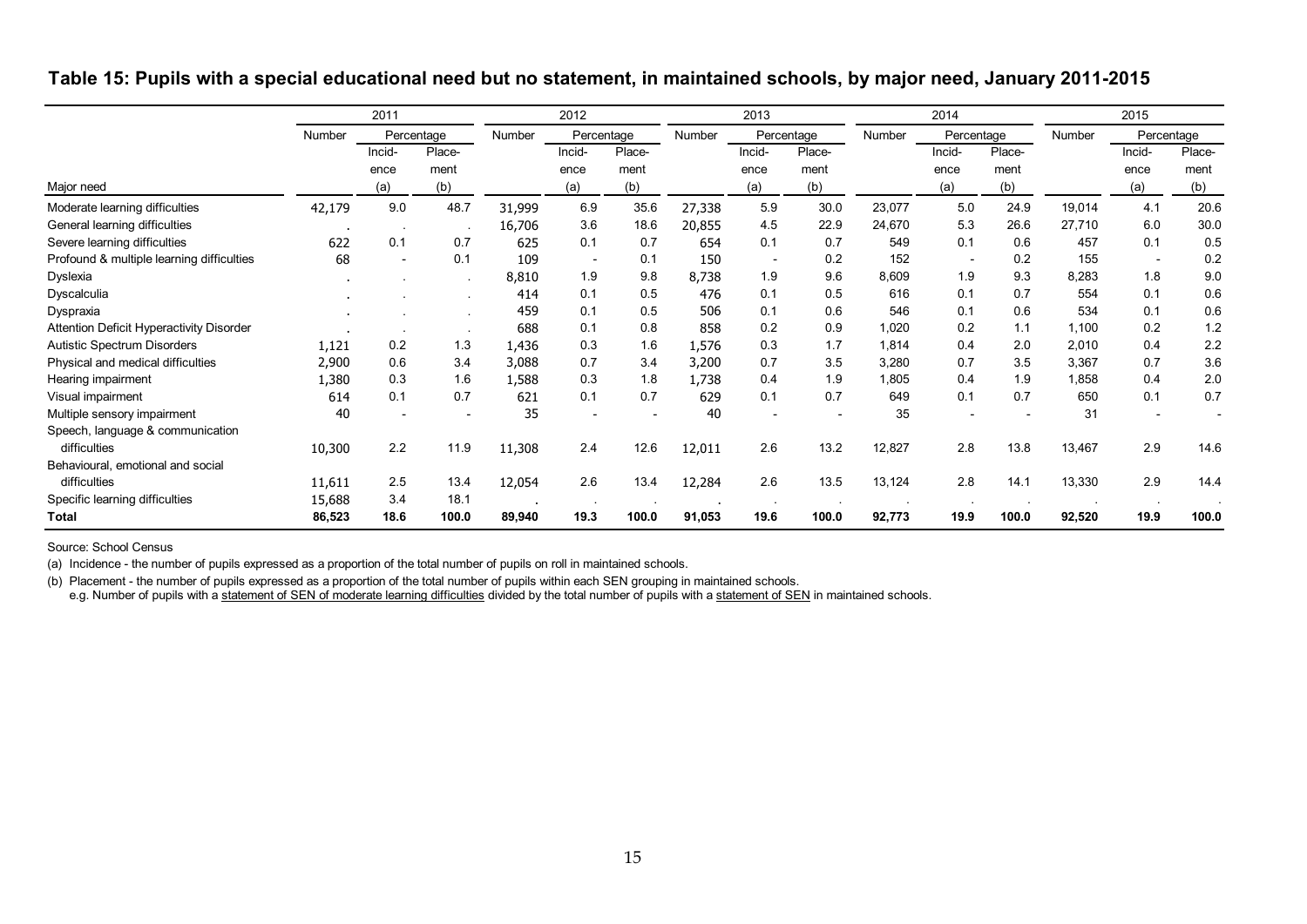|                                                 |        | 2011                  |                       |        | 2012                     |                       |        | 2013                     |                       |        | 2014                     |                       |        | 2015                  |                       |
|-------------------------------------------------|--------|-----------------------|-----------------------|--------|--------------------------|-----------------------|--------|--------------------------|-----------------------|--------|--------------------------|-----------------------|--------|-----------------------|-----------------------|
|                                                 | Number | Percentage            |                       | Number |                          | Percentage            |        |                          | Percentage            | Number | Percentage               |                       | Number | Percentage            |                       |
| Major need                                      |        | Incid-<br>ence<br>(a) | Place-<br>ment<br>(b) |        | Incid-<br>ence<br>(a)    | Place-<br>ment<br>(b) |        | Incid-<br>ence<br>(a)    | Place-<br>ment<br>(b) |        | Incid-<br>ence<br>(a)    | Place-<br>ment<br>(b) |        | Incid-<br>ence<br>(a) | Place-<br>ment<br>(b) |
| Moderate learning difficulties                  | 42,179 | 9.0                   | 48.7                  | 31,999 | 6.9                      | 35.6                  | 27,338 | 5.9                      | 30.0                  | 23,077 | 5.0                      | 24.9                  | 19,014 | 4.1                   | 20.6                  |
| General learning difficulties                   |        |                       |                       | 16,706 | 3.6                      | 18.6                  | 20,855 | 4.5                      | 22.9                  | 24,670 | 5.3                      | 26.6                  | 27,710 | 6.0                   | 30.0                  |
| Severe learning difficulties                    | 622    | 0.1                   | 0.7                   | 625    | 0.1                      | 0.7                   | 654    | 0.1                      | 0.7                   | 549    | 0.1                      | 0.6                   | 457    | 0.1                   | 0.5                   |
| Profound & multiple learning difficulties       | 68     |                       | 0.1                   | 109    | $\overline{\phantom{a}}$ | 0.1                   | 150    | $\overline{\phantom{a}}$ | 0.2                   | 152    | $\overline{\phantom{a}}$ | 0.2                   | 155    |                       | 0.2                   |
| Dyslexia                                        |        |                       | $\sim$                | 8,810  | 1.9                      | 9.8                   | 8,738  | 1.9                      | 9.6                   | 8,609  | 1.9                      | 9.3                   | 8,283  | 1.8                   | 9.0                   |
| Dyscalculia                                     |        |                       |                       | 414    | 0.1                      | 0.5                   | 476    | 0.1                      | 0.5                   | 616    | 0.1                      | 0.7                   | 554    | 0.1                   | 0.6                   |
| Dyspraxia                                       |        |                       |                       | 459    | 0.1                      | 0.5                   | 506    | 0.1                      | 0.6                   | 546    | 0.1                      | 0.6                   | 534    | 0.1                   | 0.6                   |
| <b>Attention Deficit Hyperactivity Disorder</b> |        |                       |                       | 688    | 0.1                      | 0.8                   | 858    | 0.2                      | 0.9                   | 1,020  | 0.2                      | 1.1                   | 1,100  | 0.2                   | 1.2                   |
| <b>Autistic Spectrum Disorders</b>              | 1,121  | 0.2                   | 1.3                   | 1,436  | 0.3                      | 1.6                   | 1,576  | 0.3                      | 1.7                   | 1,814  | 0.4                      | 2.0                   | 2,010  | 0.4                   | 2.2                   |
| Physical and medical difficulties               | 2,900  | 0.6                   | 3.4                   | 3,088  | 0.7                      | 3.4                   | 3,200  | 0.7                      | 3.5                   | 3,280  | 0.7                      | 3.5                   | 3,367  | 0.7                   | 3.6                   |
| Hearing impairment                              | 1,380  | 0.3                   | 1.6                   | 1,588  | 0.3                      | 1.8                   | 1,738  | 0.4                      | 1.9                   | 1,805  | 0.4                      | 1.9                   | 1,858  | 0.4                   | 2.0                   |
| Visual impairment                               | 614    | 0.1                   | 0.7                   | 621    | 0.1                      | 0.7                   | 629    | 0.1                      | 0.7                   | 649    | 0.1                      | 0.7                   | 650    | 0.1                   | 0.7                   |
| Multiple sensory impairment                     | 40     |                       |                       | 35     |                          |                       | 40     |                          |                       | 35     |                          |                       | 31     |                       |                       |
| Speech, language & communication                |        |                       |                       |        |                          |                       |        |                          |                       |        |                          |                       |        |                       |                       |
| difficulties                                    | 10,300 | 2.2                   | 11.9                  | 11,308 | 2.4                      | 12.6                  | 12,011 | 2.6                      | 13.2                  | 12,827 | 2.8                      | 13.8                  | 13,467 | 2.9                   | 14.6                  |
| Behavioural, emotional and social               |        |                       |                       |        |                          |                       |        |                          |                       |        |                          |                       |        |                       |                       |
| difficulties                                    | 11,611 | 2.5                   | 13.4                  | 12,054 | 2.6                      | 13.4                  | 12,284 | 2.6                      | 13.5                  | 13,124 | 2.8                      | 14.1                  | 13,330 | 2.9                   | 14.4                  |
| Specific learning difficulties                  | 15,688 | 3.4                   | 18.1                  |        |                          |                       |        |                          |                       |        |                          |                       |        |                       |                       |
| <b>Total</b>                                    | 86,523 | 18.6                  | 100.0                 | 89,940 | 19.3                     | 100.0                 | 91,053 | 19.6                     | 100.0                 | 92,773 | 19.9                     | 100.0                 | 92,520 | 19.9                  | 100.0                 |

**Table 15: Pupils with a special educational need but no statement, in maintained schools, by major need, January 2011-2015**

Source: School Census

(a) Incidence - the number of pupils expressed as a proportion of the total number of pupils on roll in maintained schools.

<span id="page-14-0"></span>(b) Placement - the number of pupils expressed as a proportion of the total number of pupils within each SEN grouping in maintained schools. e.g. Number of pupils with a statement of SEN of moderate learning difficulties divided by the total number of pupils with a statement of SEN in maintained schools.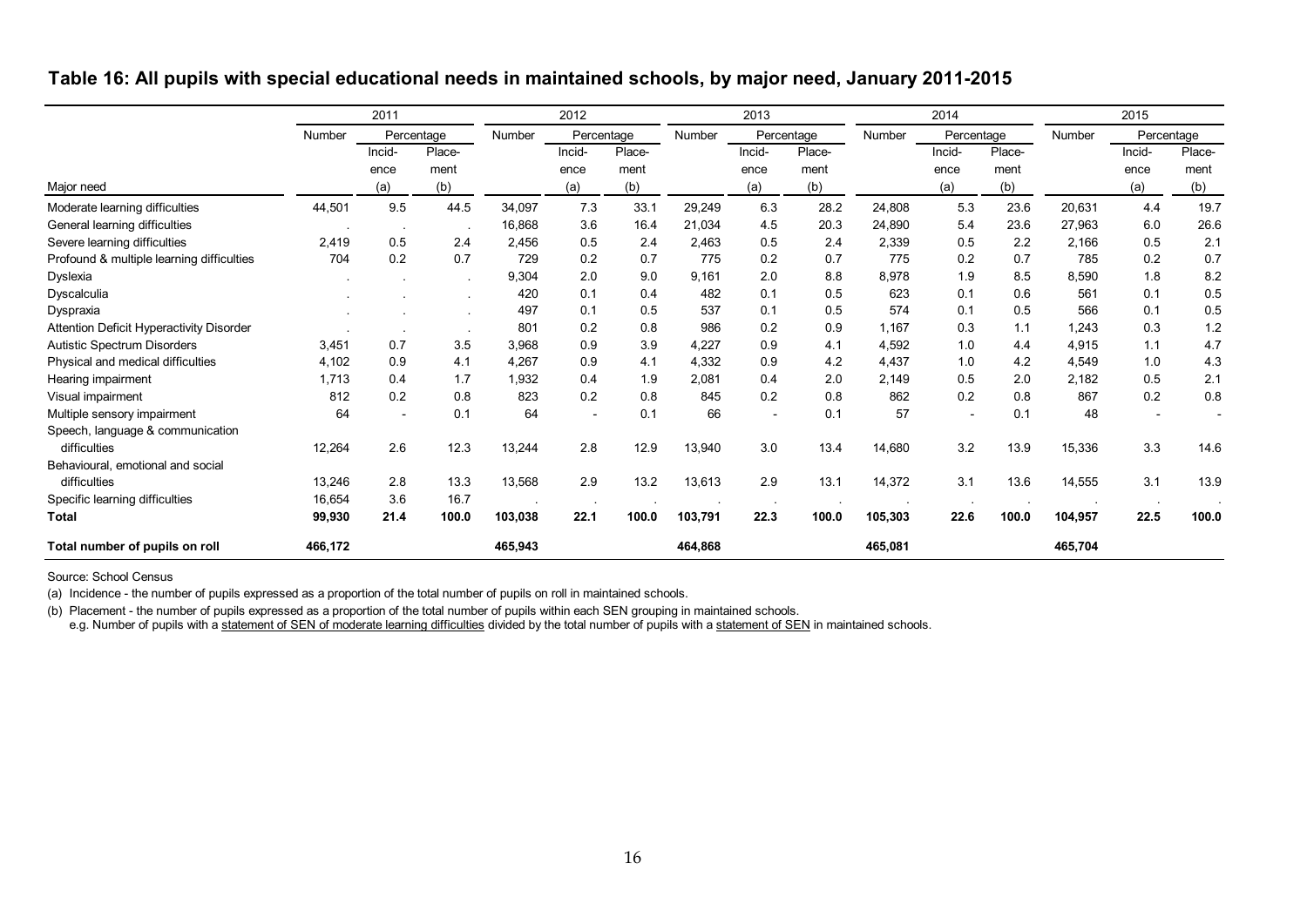|                                           | 2011    |                          | 2012       |         |            | 2013   |         |                          | 2014       |         |                          | 2015   |         |                          |            |
|-------------------------------------------|---------|--------------------------|------------|---------|------------|--------|---------|--------------------------|------------|---------|--------------------------|--------|---------|--------------------------|------------|
|                                           | Number  |                          | Percentage | Number  | Percentage |        | Number  |                          | Percentage | Number  | Percentage               |        | Number  |                          | Percentage |
|                                           |         | Incid-                   | Place-     |         | Incid-     | Place- |         | Incid-                   | Place-     |         | Incid-                   | Place- |         | Incid-                   | Place-     |
|                                           |         | ence                     | ment       |         | ence       | ment   |         | ence                     | ment       |         | ence                     | ment   |         | ence                     | ment       |
| Major need                                |         | (a)                      | (b)        |         | (a)        | (b)    |         | (a)                      | (b)        |         | (a)                      | (b)    |         | (a)                      | (b)        |
| Moderate learning difficulties            | 44,501  | 9.5                      | 44.5       | 34,097  | 7.3        | 33.1   | 29,249  | 6.3                      | 28.2       | 24,808  | 5.3                      | 23.6   | 20,631  | 4.4                      | 19.7       |
| General learning difficulties             |         | $\sim$                   |            | 16,868  | 3.6        | 16.4   | 21,034  | 4.5                      | 20.3       | 24,890  | 5.4                      | 23.6   | 27,963  | 6.0                      | 26.6       |
| Severe learning difficulties              | 2,419   | 0.5                      | 2.4        | 2,456   | 0.5        | 2.4    | 2,463   | 0.5                      | 2.4        | 2,339   | 0.5                      | 2.2    | 2,166   | 0.5                      | 2.1        |
| Profound & multiple learning difficulties | 704     | 0.2                      | 0.7        | 729     | 0.2        | 0.7    | 775     | 0.2                      | 0.7        | 775     | 0.2                      | 0.7    | 785     | 0.2                      | 0.7        |
| Dyslexia                                  |         |                          |            | 9,304   | 2.0        | 9.0    | 9,161   | 2.0                      | 8.8        | 8,978   | 1.9                      | 8.5    | 8,590   | 1.8                      | 8.2        |
| Dyscalculia                               |         |                          |            | 420     | 0.1        | 0.4    | 482     | 0.1                      | 0.5        | 623     | 0.1                      | 0.6    | 561     | 0.1                      | 0.5        |
| Dyspraxia                                 |         |                          |            | 497     | 0.1        | 0.5    | 537     | 0.1                      | 0.5        | 574     | 0.1                      | 0.5    | 566     | 0.1                      | 0.5        |
| Attention Deficit Hyperactivity Disorder  |         |                          |            | 801     | 0.2        | 0.8    | 986     | 0.2                      | 0.9        | 1,167   | 0.3                      | 1.1    | 1,243   | 0.3                      | 1.2        |
| Autistic Spectrum Disorders               | 3,451   | 0.7                      | 3.5        | 3,968   | 0.9        | 3.9    | 4,227   | 0.9                      | 4.1        | 4,592   | 1.0                      | 4.4    | 4,915   | 1.1                      | 4.7        |
| Physical and medical difficulties         | 4,102   | 0.9                      | 4.1        | 4,267   | 0.9        | 4.1    | 4,332   | 0.9                      | 4.2        | 4,437   | 1.0                      | 4.2    | 4,549   | 1.0                      | 4.3        |
| Hearing impairment                        | 1,713   | 0.4                      | 1.7        | 1,932   | 0.4        | 1.9    | 2,081   | 0.4                      | 2.0        | 2,149   | 0.5                      | 2.0    | 2,182   | 0.5                      | 2.1        |
| Visual impairment                         | 812     | 0.2                      | 0.8        | 823     | 0.2        | 0.8    | 845     | 0.2                      | 0.8        | 862     | 0.2                      | 0.8    | 867     | 0.2                      | 0.8        |
| Multiple sensory impairment               | 64      | $\overline{\phantom{a}}$ | 0.1        | 64      |            | 0.1    | 66      | $\overline{\phantom{a}}$ | 0.1        | 57      | $\overline{\phantom{a}}$ | 0.1    | 48      | $\overline{\phantom{a}}$ |            |
| Speech, language & communication          |         |                          |            |         |            |        |         |                          |            |         |                          |        |         |                          |            |
| difficulties                              | 12,264  | 2.6                      | 12.3       | 13,244  | 2.8        | 12.9   | 13,940  | 3.0                      | 13.4       | 14,680  | 3.2                      | 13.9   | 15,336  | 3.3                      | 14.6       |
| Behavioural, emotional and social         |         |                          |            |         |            |        |         |                          |            |         |                          |        |         |                          |            |
| difficulties                              | 13,246  | 2.8                      | 13.3       | 13,568  | 2.9        | 13.2   | 13,613  | 2.9                      | 13.1       | 14,372  | 3.1                      | 13.6   | 14,555  | 3.1                      | 13.9       |
| Specific learning difficulties            | 16,654  | 3.6                      | 16.7       |         |            |        |         |                          |            |         |                          |        |         |                          |            |
| Total                                     | 99,930  | 21.4                     | 100.0      | 103,038 | 22.1       | 100.0  | 103,791 | 22.3                     | 100.0      | 105,303 | 22.6                     | 100.0  | 104,957 | 22.5                     | 100.0      |
| Total number of pupils on roll            | 466,172 |                          |            | 465,943 |            |        | 464,868 |                          |            | 465,081 |                          |        | 465,704 |                          |            |

Source: School Census

(a) Incidence - the number of pupils expressed as a proportion of the total number of pupils on roll in maintained schools.

(b) Placement - the number of pupils expressed as a proportion of the total number of pupils within each SEN grouping in maintained schools.

e.g. Number of pupils with a statement of SEN of moderate learning difficulties divided by the total number of pupils with a statement of SEN in maintained schools.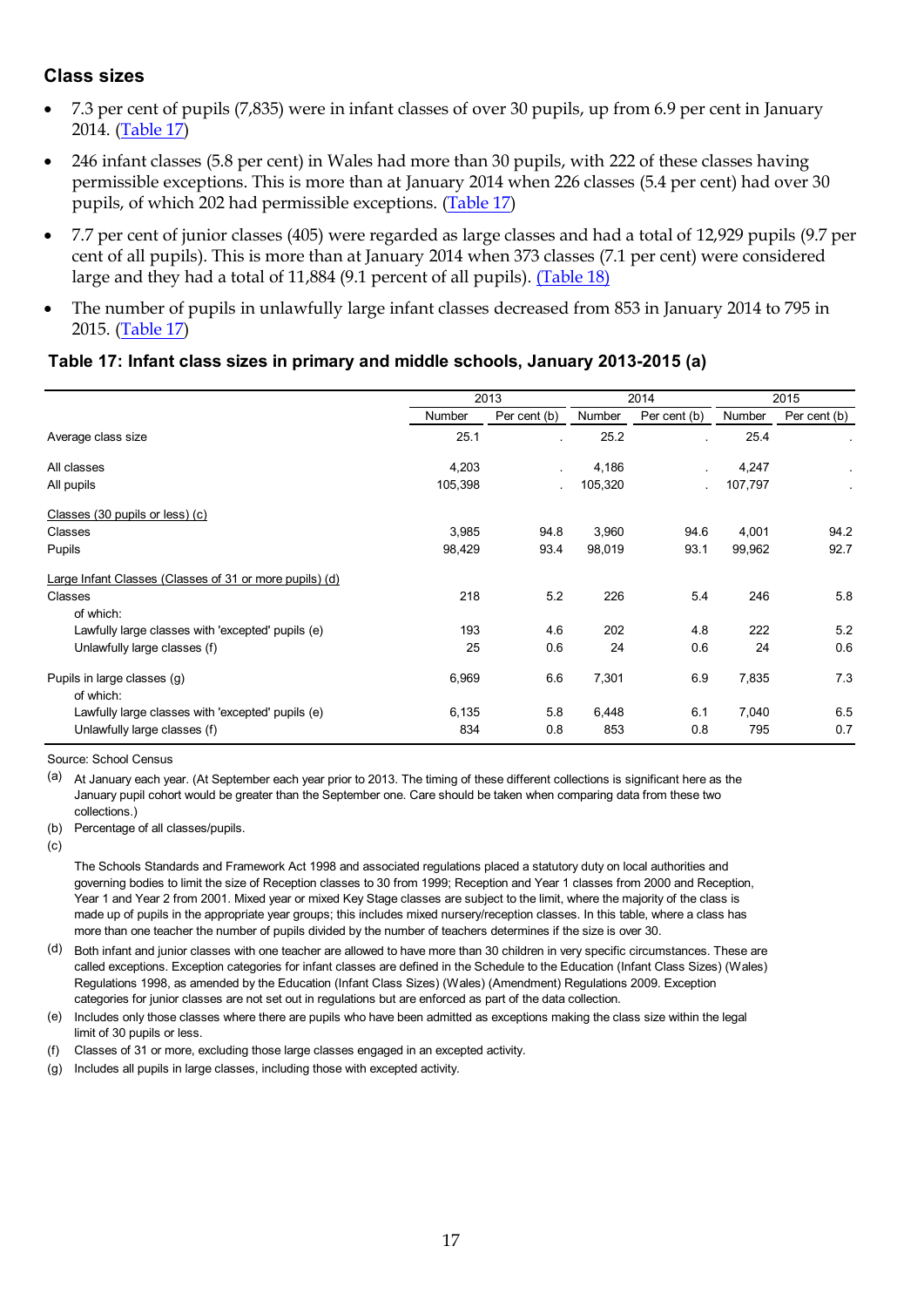#### <span id="page-16-0"></span>**Class sizes**

- 7.3 per cent of pupils (7,835) were in infant classes of over 30 pupils, up from 6.9 per cent in January 2014. [\(Table 17\)](#page-16-1)
- 246 infant classes (5.8 per cent) in Wales had more than 30 pupils, with 222 of these classes having permissible exceptions. This is more than at January 2014 when 226 classes (5.4 per cent) had over 30 pupils, of which 202 had permissible exceptions. [\(Table 17\)](#page-16-1)
- 7.7 per cent of junior classes (405) were regarded as large classes and had a total of 12,929 pupils (9.7 per cent of all pupils). This is more than at January 2014 when 373 classes (7.1 per cent) were considered large and they had a total of 11,884 (9.1 percent of all pupils). (Table 18)
- The number of pupils in unlawfully large infant classes decreased from 853 in January 2014 to 795 in 2015. [\(Table 17\)](#page-16-1)

#### **Table 17: Infant class sizes in primary and middle schools, January 2013-2015 (a)**

|                                                         |         | 2013         | 2014    |              |         | 2015         |  |
|---------------------------------------------------------|---------|--------------|---------|--------------|---------|--------------|--|
|                                                         | Number  | Per cent (b) | Number  | Per cent (b) | Number  | Per cent (b) |  |
| Average class size                                      | 25.1    |              | 25.2    |              | 25.4    |              |  |
| All classes                                             | 4,203   |              | 4,186   |              | 4,247   |              |  |
| All pupils                                              | 105,398 |              | 105,320 |              | 107,797 |              |  |
| Classes (30 pupils or less) (c)                         |         |              |         |              |         |              |  |
| Classes                                                 | 3,985   | 94.8         | 3,960   | 94.6         | 4,001   | 94.2         |  |
| Pupils                                                  | 98,429  | 93.4         | 98,019  | 93.1         | 99,962  | 92.7         |  |
| Large Infant Classes (Classes of 31 or more pupils) (d) |         |              |         |              |         |              |  |
| Classes                                                 | 218     | 5.2          | 226     | 5.4          | 246     | 5.8          |  |
| of which:                                               |         |              |         |              |         |              |  |
| Lawfully large classes with 'excepted' pupils (e)       | 193     | 4.6          | 202     | 4.8          | 222     | 5.2          |  |
| Unlawfully large classes (f)                            | 25      | 0.6          | 24      | 0.6          | 24      | 0.6          |  |
| Pupils in large classes (g)<br>of which:                | 6,969   | 6.6          | 7,301   | 6.9          | 7,835   | 7.3          |  |
| Lawfully large classes with 'excepted' pupils (e)       | 6,135   | 5.8          | 6,448   | 6.1          | 7,040   | 6.5          |  |
| Unlawfully large classes (f)                            | 834     | 0.8          | 853     | 0.8          | 795     | 0.7          |  |

Source: School Census

(a) At January each year. (At September each year prior to 2013. The timing of these different collections is significant here as the January pupil cohort would be greater than the September one. Care should be taken when comparing data from these two collections.)

(b) Percentage of all classes/pupils.

 $(c)$ 

The Schools Standards and Framework Act 1998 and associated regulations placed a statutory duty on local authorities and governing bodies to limit the size of Reception classes to 30 from 1999; Reception and Year 1 classes from 2000 and Reception, Year 1 and Year 2 from 2001. Mixed year or mixed Key Stage classes are subject to the limit, where the majority of the class is made up of pupils in the appropriate year groups; this includes mixed nursery/reception classes. In this table, where a class has more than one teacher the number of pupils divided by the number of teachers determines if the size is over 30.

- (d) Both infant and junior classes with one teacher are allowed to have more than 30 children in very specific circumstances. These are called exceptions. Exception categories for infant classes are defined in the Schedule to the Education (Infant Class Sizes) (Wales) Regulations 1998, as amended by the Education (Infant Class Sizes) (Wales) (Amendment) Regulations 2009. Exception categories for junior classes are not set out in regulations but are enforced as part of the data collection.
- (e) Includes only those classes where there are pupils who have been admitted as exceptions making the class size within the legal limit of 30 pupils or less.
- (f) Classes of 31 or more, excluding those large classes engaged in an excepted activity.
- <span id="page-16-1"></span>(g) Includes all pupils in large classes, including those with excepted activity.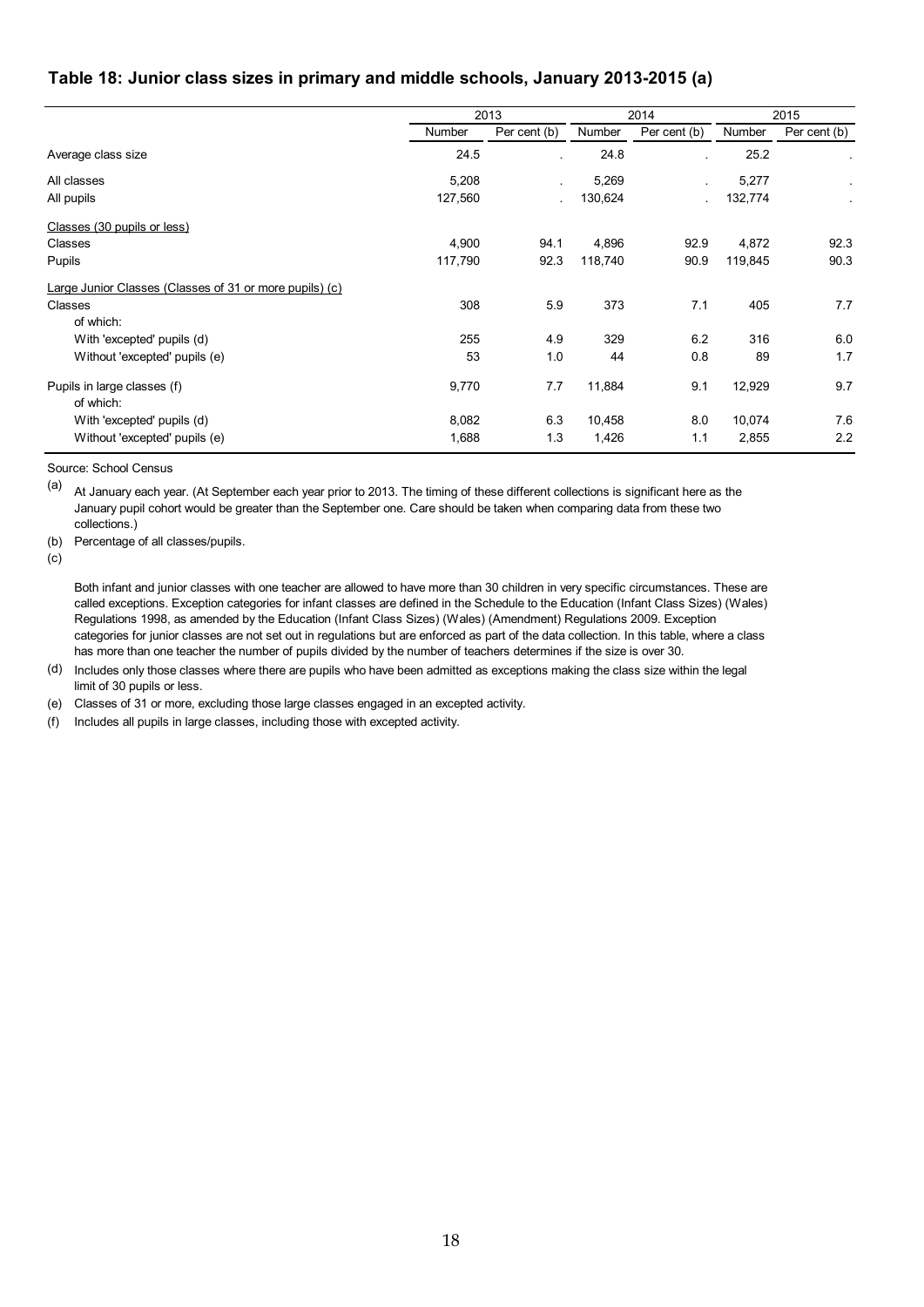#### **Table 18: Junior class sizes in primary and middle schools, January 2013-2015 (a)**

|                                                         |         | 2013         |         | 2014         |         | 2015         |
|---------------------------------------------------------|---------|--------------|---------|--------------|---------|--------------|
|                                                         | Number  | Per cent (b) | Number  | Per cent (b) | Number  | Per cent (b) |
| Average class size                                      | 24.5    |              | 24.8    |              | 25.2    |              |
| All classes                                             | 5,208   |              | 5,269   |              | 5,277   |              |
| All pupils                                              | 127,560 |              | 130,624 |              | 132,774 |              |
| Classes (30 pupils or less)                             |         |              |         |              |         |              |
| Classes                                                 | 4,900   | 94.1         | 4,896   | 92.9         | 4,872   | 92.3         |
| Pupils                                                  | 117,790 | 92.3         | 118,740 | 90.9         | 119,845 | 90.3         |
| Large Junior Classes (Classes of 31 or more pupils) (c) |         |              |         |              |         |              |
| Classes                                                 | 308     | 5.9          | 373     | 7.1          | 405     | 7.7          |
| of which:                                               |         |              |         |              |         |              |
| With 'excepted' pupils (d)                              | 255     | 4.9          | 329     | 6.2          | 316     | 6.0          |
| Without 'excepted' pupils (e)                           | 53      | 1.0          | 44      | 0.8          | 89      | 1.7          |
| Pupils in large classes (f)                             | 9,770   | 7.7          | 11,884  | 9.1          | 12,929  | 9.7          |
| of which:                                               |         |              |         |              |         |              |
| With 'excepted' pupils (d)                              | 8,082   | 6.3          | 10,458  | 8.0          | 10,074  | 7.6          |
| Without 'excepted' pupils (e)                           | 1,688   | 1.3          | 1,426   | 1.1          | 2,855   | 2.2          |

Source: School Census

(a) At January each year. (At September each year prior to 2013. The timing of these different collections is significant here as the January pupil cohort would be greater than the September one. Care should be taken when comparing data from these two collections.)

(b) Percentage of all classes/pupils.

 $(c)$ 

Both infant and junior classes with one teacher are allowed to have more than 30 children in very specific circumstances. These are called exceptions. Exception categories for infant classes are defined in the Schedule to the Education (Infant Class Sizes) (Wales) Regulations 1998, as amended by the Education (Infant Class Sizes) (Wales) (Amendment) Regulations 2009. Exception categories for junior classes are not set out in regulations but are enforced as part of the data collection. In this table, where a class has more than one teacher the number of pupils divided by the number of teachers determines if the size is over 30.

(d) Includes only those classes where there are pupils who have been admitted as exceptions making the class size within the legal limit of 30 pupils or less.

(e) Classes of 31 or more, excluding those large classes engaged in an excepted activity.

(f) Includes all pupils in large classes, including those with excepted activity.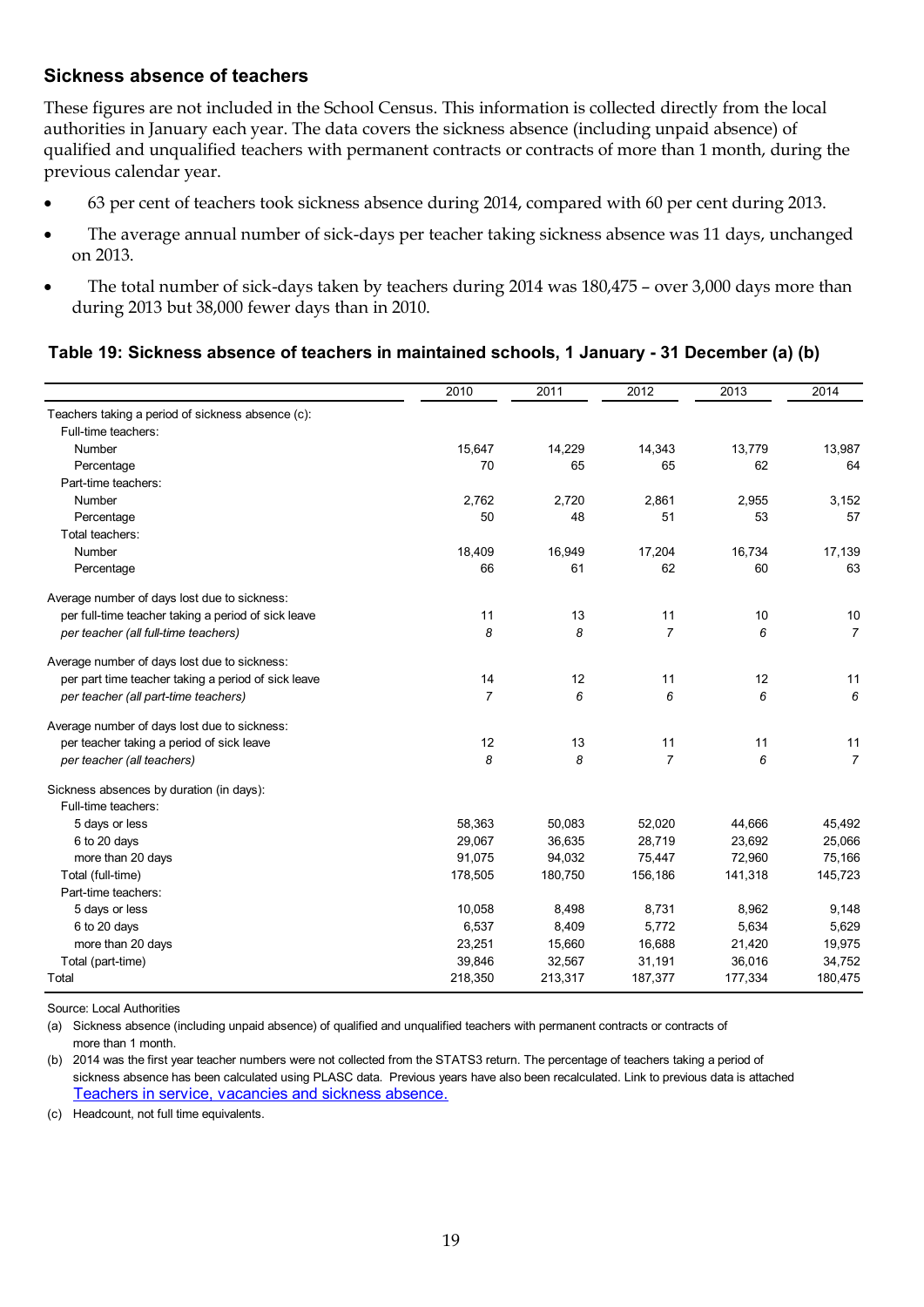## <span id="page-18-0"></span>**Sickness absence of teachers**

These figures are not included in the School Census. This information is collected directly from the local authorities in January each year. The data covers the sickness absence (including unpaid absence) of qualified and unqualified teachers with permanent contracts or contracts of more than 1 month, during the previous calendar year.

- 63 per cent of teachers took sickness absence during 2014, compared with 60 per cent during 2013.
- The average annual number of sick-days per teacher taking sickness absence was 11 days, unchanged on 2013.
- The total number of sick-days taken by teachers during 2014 was 180,475 over 3,000 days more than during 2013 but 38,000 fewer days than in 2010.

#### **Table 19: Sickness absence of teachers in maintained schools, 1 January - 31 December (a) (b)**

|                                                     | 2010           | 2011    | 2012           | 2013    | 2014           |
|-----------------------------------------------------|----------------|---------|----------------|---------|----------------|
| Teachers taking a period of sickness absence (c):   |                |         |                |         |                |
| Full-time teachers:                                 |                |         |                |         |                |
| Number                                              | 15,647         | 14,229  | 14,343         | 13,779  | 13,987         |
| Percentage                                          | 70             | 65      | 65             | 62      | 64             |
| Part-time teachers:                                 |                |         |                |         |                |
| Number                                              | 2,762          | 2,720   | 2,861          | 2,955   | 3,152          |
| Percentage                                          | 50             | 48      | 51             | 53      | 57             |
| Total teachers:                                     |                |         |                |         |                |
| Number                                              | 18,409         | 16,949  | 17,204         | 16,734  | 17,139         |
| Percentage                                          | 66             | 61      | 62             | 60      | 63             |
| Average number of days lost due to sickness:        |                |         |                |         |                |
| per full-time teacher taking a period of sick leave | 11             | 13      | 11             | 10      | $10$           |
| per teacher (all full-time teachers)                | 8              | 8       | $\overline{7}$ | 6       | $\overline{7}$ |
| Average number of days lost due to sickness:        |                |         |                |         |                |
| per part time teacher taking a period of sick leave | 14             | 12      | 11             | 12      | 11             |
| per teacher (all part-time teachers)                | $\overline{7}$ | 6       | 6              | 6       | 6              |
| Average number of days lost due to sickness:        |                |         |                |         |                |
| per teacher taking a period of sick leave           | 12             | 13      | 11             | 11      | 11             |
| per teacher (all teachers)                          | 8              | 8       | $\overline{7}$ | 6       | $\overline{7}$ |
| Sickness absences by duration (in days):            |                |         |                |         |                |
| Full-time teachers:                                 |                |         |                |         |                |
| 5 days or less                                      | 58,363         | 50,083  | 52,020         | 44,666  | 45,492         |
| 6 to 20 days                                        | 29,067         | 36,635  | 28,719         | 23,692  | 25,066         |
| more than 20 days                                   | 91,075         | 94,032  | 75,447         | 72,960  | 75,166         |
| Total (full-time)                                   | 178,505        | 180,750 | 156,186        | 141,318 | 145,723        |
| Part-time teachers:                                 |                |         |                |         |                |
| 5 days or less                                      | 10,058         | 8,498   | 8,731          | 8,962   | 9,148          |
| 6 to 20 days                                        | 6,537          | 8,409   | 5,772          | 5,634   | 5,629          |
| more than 20 days                                   | 23,251         | 15,660  | 16,688         | 21,420  | 19,975         |
| Total (part-time)                                   | 39,846         | 32,567  | 31,191         | 36,016  | 34,752         |
| Total                                               | 218,350        | 213,317 | 187,377        | 177,334 | 180,475        |

Source: Local Authorities

(a) Sickness absence (including unpaid absence) of qualified and unqualified teachers with permanent contracts or contracts of more than 1 month.

(b) 2014 was the first year teacher numbers were not collected from the STATS3 return. The percentage of teachers taking a period of sickness absence has been calculated using PLASC data. Previous years have also been recalculated. Link to previous data is attached Teachers in service, vacancies and sickness absence.

(c) Headcount, not full time equivalents.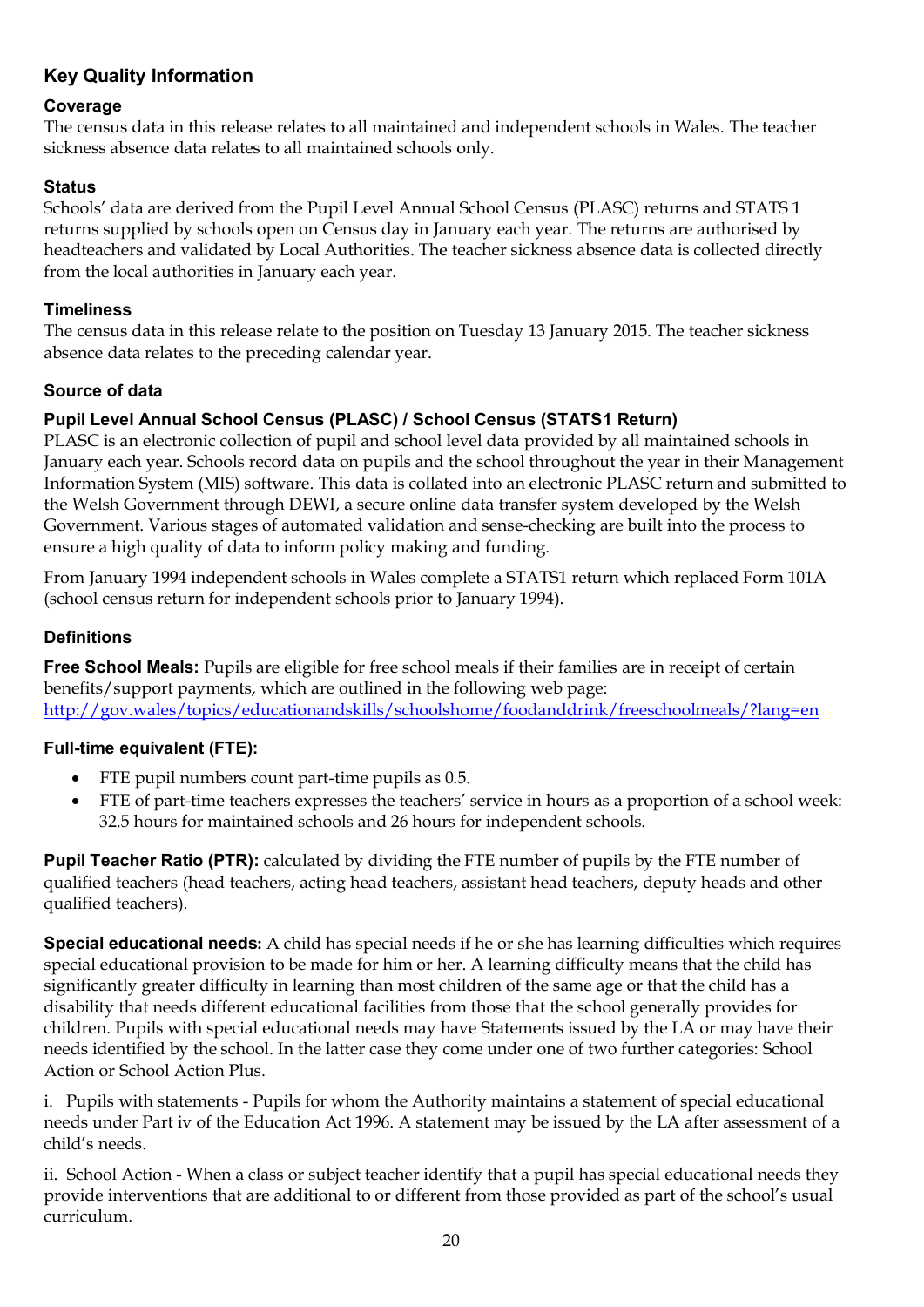## **Key Quality Information**

## **Coverage**

The census data in this release relates to all maintained and independent schools in Wales. The teacher sickness absence data relates to all maintained schools only.

## **Status**

Schools' data are derived from the Pupil Level Annual School Census (PLASC) returns and STATS 1 returns supplied by schools open on Census day in January each year. The returns are authorised by headteachers and validated by Local Authorities. The teacher sickness absence data is collected directly from the local authorities in January each year.

#### **Timeliness**

The census data in this release relate to the position on Tuesday 13 January 2015. The teacher sickness absence data relates to the preceding calendar year.

## **Source of data**

## **Pupil Level Annual School Census (PLASC) / School Census (STATS1 Return)**

PLASC is an electronic collection of pupil and school level data provided by all maintained schools in January each year. Schools record data on pupils and the school throughout the year in their Management Information System (MIS) software. This data is collated into an electronic PLASC return and submitted to the Welsh Government through DEWI, a secure online data transfer system developed by the Welsh Government. Various stages of automated validation and sense-checking are built into the process to ensure a high quality of data to inform policy making and funding.

From January 1994 independent schools in Wales complete a STATS1 return which replaced Form 101A (school census return for independent schools prior to January 1994).

## **Definitions**

**Free School Meals:** Pupils are eligible for free school meals if their families are in receipt of certain benefits/support payments, which are outlined in the following web page: <http://gov.wales/topics/educationandskills/schoolshome/foodanddrink/freeschoolmeals/?lang=en>

#### **Full-time equivalent (FTE):**

- FTE pupil numbers count part-time pupils as 0.5.
- FTE of part-time teachers expresses the teachers' service in hours as a proportion of a school week: 32.5 hours for maintained schools and 26 hours for independent schools.

**Pupil Teacher Ratio (PTR):** calculated by dividing the FTE number of pupils by the FTE number of qualified teachers (head teachers, acting head teachers, assistant head teachers, deputy heads and other qualified teachers).

**Special educational needs:** A child has special needs if he or she has learning difficulties which requires special educational provision to be made for him or her. A learning difficulty means that the child has significantly greater difficulty in learning than most children of the same age or that the child has a disability that needs different educational facilities from those that the school generally provides for children. Pupils with special educational needs may have Statements issued by the LA or may have their needs identified by the school. In the latter case they come under one of two further categories: School Action or School Action Plus.

i. Pupils with statements - Pupils for whom the Authority maintains a statement of special educational needs under Part iv of the Education Act 1996. A statement may be issued by the LA after assessment of a child's needs.

ii. School Action - When a class or subject teacher identify that a pupil has special educational needs they provide interventions that are additional to or different from those provided as part of the school's usual curriculum.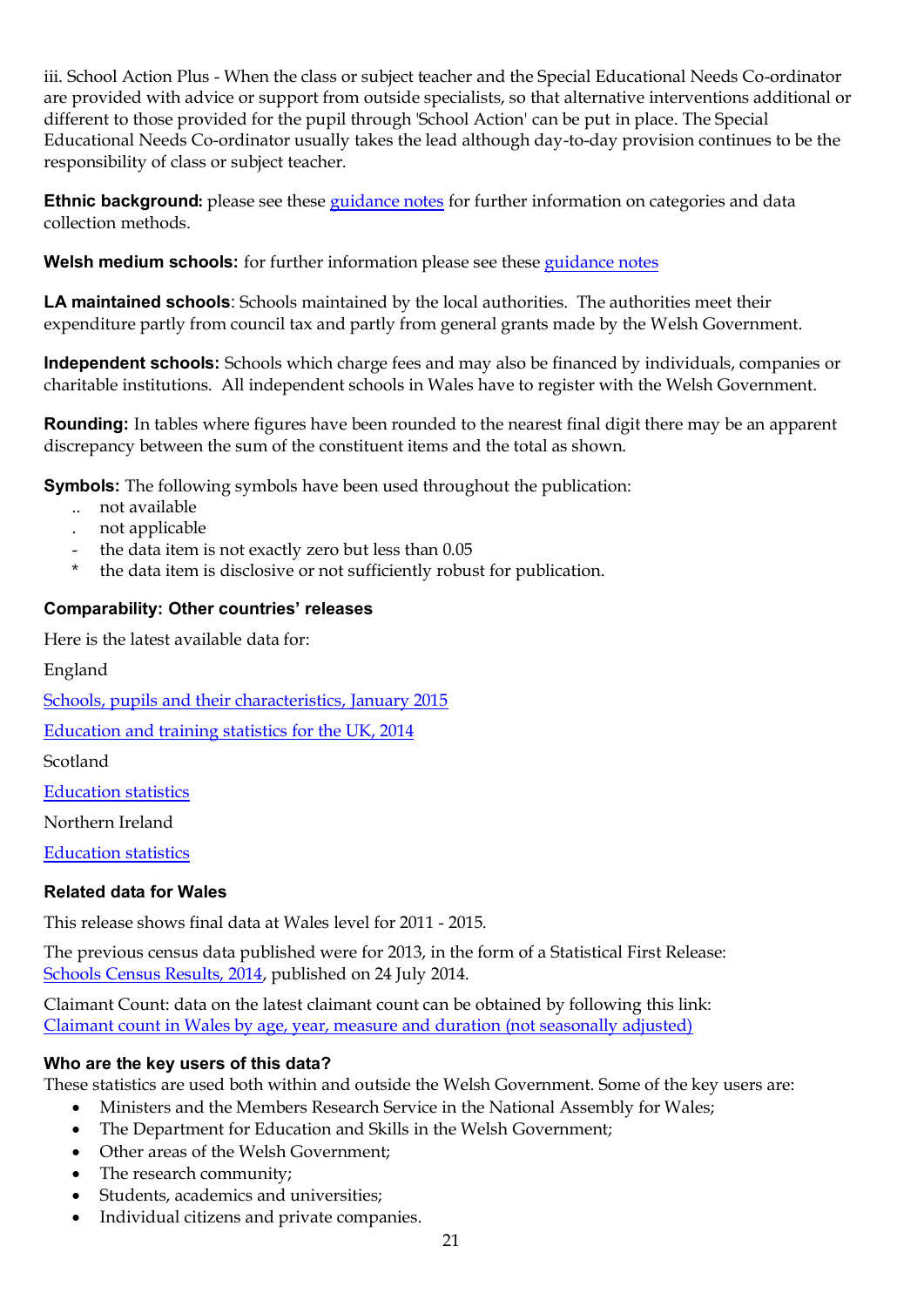iii. School Action Plus - When the class or subject teacher and the Special Educational Needs Co-ordinator are provided with advice or support from outside specialists, so that alternative interventions additional or different to those provided for the pupil through 'School Action' can be put in place. The Special Educational Needs Co-ordinator usually takes the lead although day-to-day provision continues to be the responsibility of class or subject teacher.

**Ethnic background:** please see thes[e guidance notes](http://gov.wales/topics/educationandskills/publications/circulars/circular0062009/?lang=en) for further information on categories and data collection methods.

**Welsh medium schools:** for further information please see these [guidance notes](http://gov.wales/topics/educationandskills/publications/guidance/defining-schools-welsh-medium/?lang=en)

**LA maintained schools**: Schools maintained by the local authorities. The authorities meet their expenditure partly from council tax and partly from general grants made by the Welsh Government.

**Independent schools:** Schools which charge fees and may also be financed by individuals, companies or charitable institutions. All independent schools in Wales have to register with the Welsh Government.

**Rounding:** In tables where figures have been rounded to the nearest final digit there may be an apparent discrepancy between the sum of the constituent items and the total as shown.

**Symbols:** The following symbols have been used throughout the publication:

- .. not available
- . not applicable
- the data item is not exactly zero but less than 0.05
- the data item is disclosive or not sufficiently robust for publication.

## **Comparability: Other countries' releases**

Here is the latest available data for:

England

[Schools, pupils and their characteristics, January 2015](https://www.gov.uk/government/statistics/schools-pupils-and-their-characteristics-january-2015)

[Education and training statistics for the UK, 2014](https://www.gov.uk/government/statistics/education-and-training-statistics-for-the-uk-2014)

Scotland

[Education statistics](http://www.gov.scot/Topics/Statistics/Browse/School-Education)

Northern Ireland

[Education statistics](http://www.deni.gov.uk/index/facts-and-figures-new/education-statistics.htm)

#### **Related data for Wales**

This release shows final data at Wales level for 2011 - 2015.

The previous census data published were for 2013, in the form of a Statistical First Release: [Schools Census Results, 2014,](http://gov.wales/statistics-and-research/schools-census/?lang=en) published on 24 July 2014.

Claimant Count: data on the latest claimant count can be obtained by following this link: [Claimant count in Wales by age, year, measure and duration \(not seasonally adjusted\)](https://statswales.wales.gov.uk/Catalogue/Business-Economy-and-Labour-Market/People-and-Work/Unemployment/Claimant-Count/ClaimantCountInWales-by-Age-Year-Measure-Duration)

#### **Who are the key users of this data?**

These statistics are used both within and outside the Welsh Government. Some of the key users are:

- Ministers and the Members Research Service in the National Assembly for Wales;
- The Department for Education and Skills in the Welsh Government;
- Other areas of the Welsh Government;
- The research community;
- Students, academics and universities;
- Individual citizens and private companies.